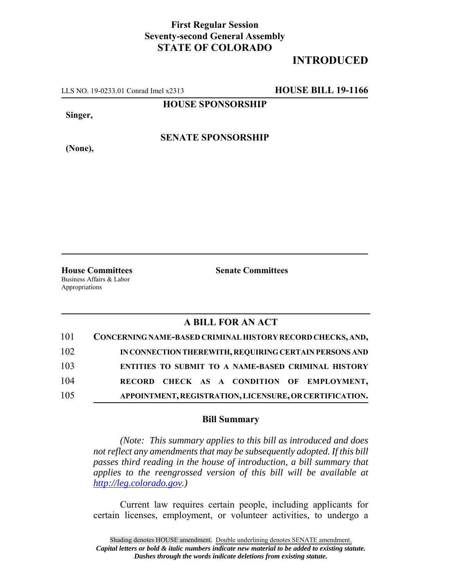### **First Regular Session Seventy-second General Assembly STATE OF COLORADO**

# **INTRODUCED**

LLS NO. 19-0233.01 Conrad Imel x2313 **HOUSE BILL 19-1166**

**HOUSE SPONSORSHIP**

**Singer,**

**(None),**

**SENATE SPONSORSHIP**

**House Committees Senate Committees** Business Affairs & Labor

Appropriations

### **A BILL FOR AN ACT**

| 101 | CONCERNING NAME-BASED CRIMINAL HISTORY RECORD CHECKS, AND, |
|-----|------------------------------------------------------------|
| 102 | IN CONNECTION THEREWITH, REQUIRING CERTAIN PERSONS AND     |
| 103 | ENTITIES TO SUBMIT TO A NAME-BASED CRIMINAL HISTORY        |
| 104 | RECORD CHECK AS A CONDITION OF EMPLOYMENT,                 |
| 105 | APPOINTMENT, REGISTRATION, LICENSURE, OR CERTIFICATION.    |

#### **Bill Summary**

*(Note: This summary applies to this bill as introduced and does not reflect any amendments that may be subsequently adopted. If this bill passes third reading in the house of introduction, a bill summary that applies to the reengrossed version of this bill will be available at http://leg.colorado.gov.)*

Current law requires certain people, including applicants for certain licenses, employment, or volunteer activities, to undergo a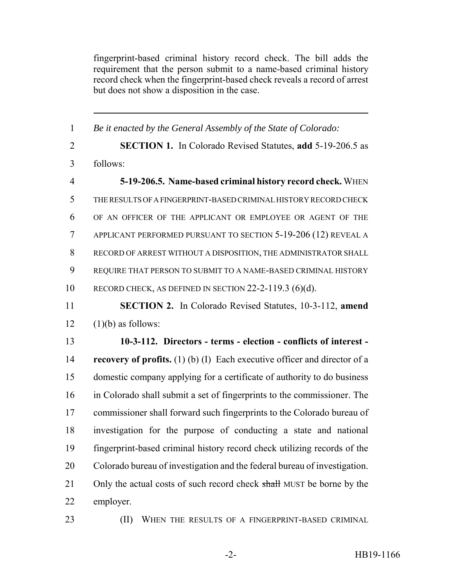fingerprint-based criminal history record check. The bill adds the requirement that the person submit to a name-based criminal history record check when the fingerprint-based check reveals a record of arrest but does not show a disposition in the case.

 *Be it enacted by the General Assembly of the State of Colorado:* **SECTION 1.** In Colorado Revised Statutes, **add** 5-19-206.5 as follows: **5-19-206.5. Name-based criminal history record check.** WHEN THE RESULTS OF A FINGERPRINT-BASED CRIMINAL HISTORY RECORD CHECK OF AN OFFICER OF THE APPLICANT OR EMPLOYEE OR AGENT OF THE APPLICANT PERFORMED PURSUANT TO SECTION 5-19-206 (12) REVEAL A RECORD OF ARREST WITHOUT A DISPOSITION, THE ADMINISTRATOR SHALL REQUIRE THAT PERSON TO SUBMIT TO A NAME-BASED CRIMINAL HISTORY 10 RECORD CHECK, AS DEFINED IN SECTION 22-2-119.3 (6)(d). **SECTION 2.** In Colorado Revised Statutes, 10-3-112, **amend**  $12 \quad (1)(b)$  as follows: **10-3-112. Directors - terms - election - conflicts of interest - recovery of profits.** (1) (b) (I) Each executive officer and director of a domestic company applying for a certificate of authority to do business in Colorado shall submit a set of fingerprints to the commissioner. The commissioner shall forward such fingerprints to the Colorado bureau of investigation for the purpose of conducting a state and national fingerprint-based criminal history record check utilizing records of the Colorado bureau of investigation and the federal bureau of investigation. 21 Only the actual costs of such record check shall MUST be borne by the employer.

**(II)** WHEN THE RESULTS OF A FINGERPRINT-BASED CRIMINAL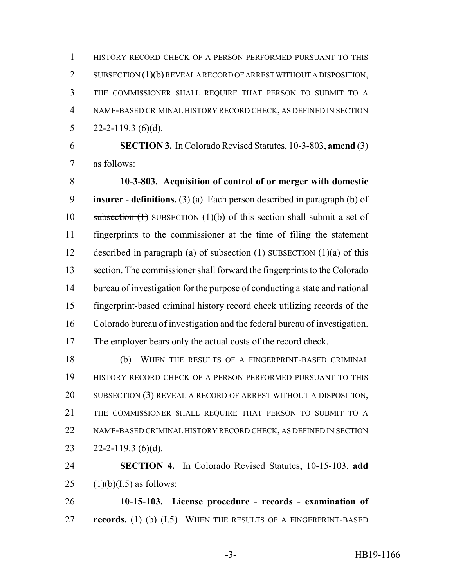HISTORY RECORD CHECK OF A PERSON PERFORMED PURSUANT TO THIS 2 SUBSECTION (1)(b) REVEAL A RECORD OF ARREST WITHOUT A DISPOSITION, THE COMMISSIONER SHALL REQUIRE THAT PERSON TO SUBMIT TO A NAME-BASED CRIMINAL HISTORY RECORD CHECK, AS DEFINED IN SECTION 5 22-2-119.3 (6)(d).

 **SECTION 3.** In Colorado Revised Statutes, 10-3-803, **amend** (3) as follows:

 **10-3-803. Acquisition of control of or merger with domestic insurer - definitions.** (3) (a) Each person described in paragraph (b) of 10 subsection  $(1)$  SUBSECTION  $(1)(b)$  of this section shall submit a set of fingerprints to the commissioner at the time of filing the statement 12 described in paragraph (a) of subsection  $(1)$  SUBSECTION  $(1)(a)$  of this section. The commissioner shall forward the fingerprints to the Colorado bureau of investigation for the purpose of conducting a state and national fingerprint-based criminal history record check utilizing records of the Colorado bureau of investigation and the federal bureau of investigation. The employer bears only the actual costs of the record check.

 (b) WHEN THE RESULTS OF A FINGERPRINT-BASED CRIMINAL HISTORY RECORD CHECK OF A PERSON PERFORMED PURSUANT TO THIS SUBSECTION (3) REVEAL A RECORD OF ARREST WITHOUT A DISPOSITION, THE COMMISSIONER SHALL REQUIRE THAT PERSON TO SUBMIT TO A NAME-BASED CRIMINAL HISTORY RECORD CHECK, AS DEFINED IN SECTION  $22 - 2 - 119.3$  (6)(d).

 **SECTION 4.** In Colorado Revised Statutes, 10-15-103, **add** 25  $(1)(b)(I.5)$  as follows:

 **10-15-103. License procedure - records - examination of records.** (1) (b) (I.5) WHEN THE RESULTS OF A FINGERPRINT-BASED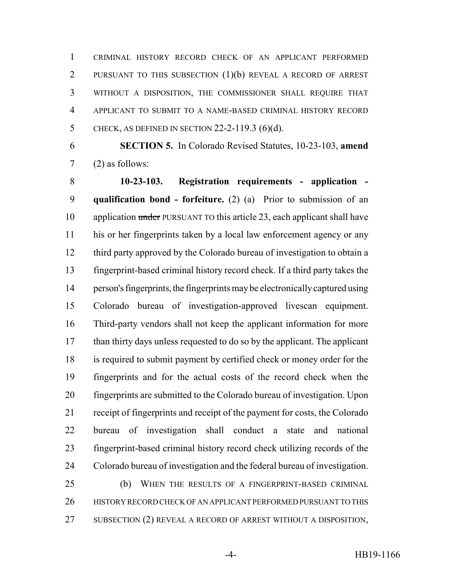CRIMINAL HISTORY RECORD CHECK OF AN APPLICANT PERFORMED PURSUANT TO THIS SUBSECTION (1)(b) REVEAL A RECORD OF ARREST WITHOUT A DISPOSITION, THE COMMISSIONER SHALL REQUIRE THAT APPLICANT TO SUBMIT TO A NAME-BASED CRIMINAL HISTORY RECORD CHECK, AS DEFINED IN SECTION 22-2-119.3 (6)(d).

 **SECTION 5.** In Colorado Revised Statutes, 10-23-103, **amend** (2) as follows:

 **10-23-103. Registration requirements - application - qualification bond - forfeiture.** (2) (a) Prior to submission of an 10 application under PURSUANT TO this article 23, each applicant shall have his or her fingerprints taken by a local law enforcement agency or any third party approved by the Colorado bureau of investigation to obtain a fingerprint-based criminal history record check. If a third party takes the person's fingerprints, the fingerprints may be electronically captured using Colorado bureau of investigation-approved livescan equipment. Third-party vendors shall not keep the applicant information for more than thirty days unless requested to do so by the applicant. The applicant is required to submit payment by certified check or money order for the fingerprints and for the actual costs of the record check when the fingerprints are submitted to the Colorado bureau of investigation. Upon receipt of fingerprints and receipt of the payment for costs, the Colorado bureau of investigation shall conduct a state and national fingerprint-based criminal history record check utilizing records of the Colorado bureau of investigation and the federal bureau of investigation. (b) WHEN THE RESULTS OF A FINGERPRINT-BASED CRIMINAL

 HISTORY RECORD CHECK OF AN APPLICANT PERFORMED PURSUANT TO THIS SUBSECTION (2) REVEAL A RECORD OF ARREST WITHOUT A DISPOSITION,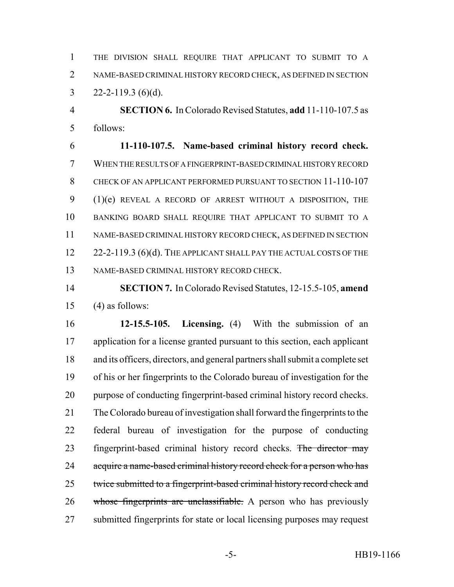THE DIVISION SHALL REQUIRE THAT APPLICANT TO SUBMIT TO A NAME-BASED CRIMINAL HISTORY RECORD CHECK, AS DEFINED IN SECTION 3  $22 - 2 - 119.3$  (6)(d).

 **SECTION 6.** In Colorado Revised Statutes, **add** 11-110-107.5 as follows:

 **11-110-107.5. Name-based criminal history record check.** WHEN THE RESULTS OF A FINGERPRINT-BASED CRIMINAL HISTORY RECORD CHECK OF AN APPLICANT PERFORMED PURSUANT TO SECTION 11-110-107 (1)(e) REVEAL A RECORD OF ARREST WITHOUT A DISPOSITION, THE BANKING BOARD SHALL REQUIRE THAT APPLICANT TO SUBMIT TO A NAME-BASED CRIMINAL HISTORY RECORD CHECK, AS DEFINED IN SECTION 12 22-2-119.3 (6)(d). THE APPLICANT SHALL PAY THE ACTUAL COSTS OF THE NAME-BASED CRIMINAL HISTORY RECORD CHECK.

 **SECTION 7.** In Colorado Revised Statutes, 12-15.5-105, **amend** (4) as follows:

 **12-15.5-105. Licensing.** (4) With the submission of an application for a license granted pursuant to this section, each applicant and its officers, directors, and general partners shall submit a complete set of his or her fingerprints to the Colorado bureau of investigation for the purpose of conducting fingerprint-based criminal history record checks. The Colorado bureau of investigation shall forward the fingerprints to the federal bureau of investigation for the purpose of conducting 23 fingerprint-based criminal history record checks. The director may 24 acquire a name-based criminal history record check for a person who has 25 twice submitted to a fingerprint-based criminal history record check and 26 whose fingerprints are unclassifiable. A person who has previously submitted fingerprints for state or local licensing purposes may request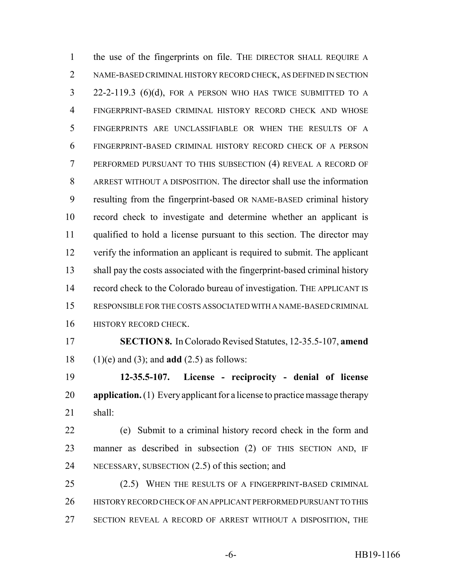the use of the fingerprints on file. THE DIRECTOR SHALL REQUIRE A NAME-BASED CRIMINAL HISTORY RECORD CHECK, AS DEFINED IN SECTION 22-2-119.3 (6)(d), FOR A PERSON WHO HAS TWICE SUBMITTED TO A FINGERPRINT-BASED CRIMINAL HISTORY RECORD CHECK AND WHOSE FINGERPRINTS ARE UNCLASSIFIABLE OR WHEN THE RESULTS OF A FINGERPRINT-BASED CRIMINAL HISTORY RECORD CHECK OF A PERSON PERFORMED PURSUANT TO THIS SUBSECTION (4) REVEAL A RECORD OF ARREST WITHOUT A DISPOSITION. The director shall use the information resulting from the fingerprint-based OR NAME-BASED criminal history record check to investigate and determine whether an applicant is qualified to hold a license pursuant to this section. The director may verify the information an applicant is required to submit. The applicant shall pay the costs associated with the fingerprint-based criminal history record check to the Colorado bureau of investigation. THE APPLICANT IS RESPONSIBLE FOR THE COSTS ASSOCIATED WITH A NAME-BASED CRIMINAL **HISTORY RECORD CHECK. SECTION 8.** In Colorado Revised Statutes, 12-35.5-107, **amend** (1)(e) and (3); and **add** (2.5) as follows: **12-35.5-107. License - reciprocity - denial of license application.** (1) Every applicant for a license to practice massage therapy shall:

 (e) Submit to a criminal history record check in the form and manner as described in subsection (2) OF THIS SECTION AND, IF NECESSARY, SUBSECTION (2.5) of this section; and

 (2.5) WHEN THE RESULTS OF A FINGERPRINT-BASED CRIMINAL HISTORY RECORD CHECK OF AN APPLICANT PERFORMED PURSUANT TO THIS SECTION REVEAL A RECORD OF ARREST WITHOUT A DISPOSITION, THE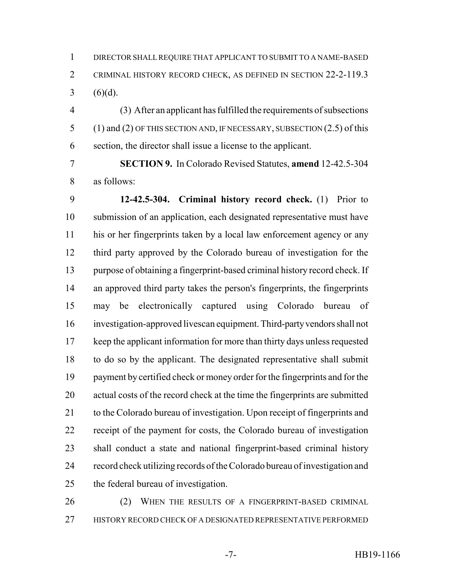DIRECTOR SHALL REQUIRE THAT APPLICANT TO SUBMIT TO A NAME-BASED CRIMINAL HISTORY RECORD CHECK, AS DEFINED IN SECTION 22-2-119.3 3 (6)(d).

 (3) After an applicant has fulfilled the requirements of subsections (1) and (2) OF THIS SECTION AND, IF NECESSARY, SUBSECTION (2.5) of this section, the director shall issue a license to the applicant.

 **SECTION 9.** In Colorado Revised Statutes, **amend** 12-42.5-304 as follows:

 **12-42.5-304. Criminal history record check.** (1) Prior to submission of an application, each designated representative must have his or her fingerprints taken by a local law enforcement agency or any third party approved by the Colorado bureau of investigation for the purpose of obtaining a fingerprint-based criminal history record check. If an approved third party takes the person's fingerprints, the fingerprints may be electronically captured using Colorado bureau of investigation-approved livescan equipment. Third-party vendors shall not 17 keep the applicant information for more than thirty days unless requested to do so by the applicant. The designated representative shall submit payment by certified check or money order for the fingerprints and for the actual costs of the record check at the time the fingerprints are submitted to the Colorado bureau of investigation. Upon receipt of fingerprints and receipt of the payment for costs, the Colorado bureau of investigation shall conduct a state and national fingerprint-based criminal history record check utilizing records of the Colorado bureau of investigation and the federal bureau of investigation.

26 (2) WHEN THE RESULTS OF A FINGERPRINT-BASED CRIMINAL HISTORY RECORD CHECK OF A DESIGNATED REPRESENTATIVE PERFORMED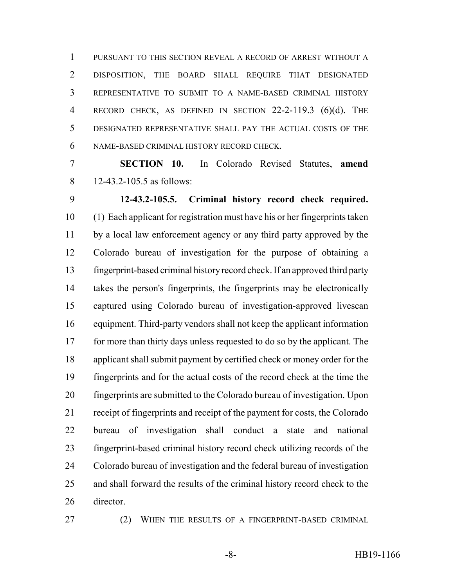PURSUANT TO THIS SECTION REVEAL A RECORD OF ARREST WITHOUT A DISPOSITION, THE BOARD SHALL REQUIRE THAT DESIGNATED REPRESENTATIVE TO SUBMIT TO A NAME-BASED CRIMINAL HISTORY RECORD CHECK, AS DEFINED IN SECTION 22-2-119.3 (6)(d). THE DESIGNATED REPRESENTATIVE SHALL PAY THE ACTUAL COSTS OF THE NAME-BASED CRIMINAL HISTORY RECORD CHECK.

 **SECTION 10.** In Colorado Revised Statutes, **amend** 12-43.2-105.5 as follows:

 **12-43.2-105.5. Criminal history record check required.** (1) Each applicant for registration must have his or her fingerprints taken by a local law enforcement agency or any third party approved by the Colorado bureau of investigation for the purpose of obtaining a fingerprint-based criminal history record check. If an approved third party takes the person's fingerprints, the fingerprints may be electronically captured using Colorado bureau of investigation-approved livescan equipment. Third-party vendors shall not keep the applicant information for more than thirty days unless requested to do so by the applicant. The applicant shall submit payment by certified check or money order for the fingerprints and for the actual costs of the record check at the time the fingerprints are submitted to the Colorado bureau of investigation. Upon receipt of fingerprints and receipt of the payment for costs, the Colorado bureau of investigation shall conduct a state and national fingerprint-based criminal history record check utilizing records of the Colorado bureau of investigation and the federal bureau of investigation and shall forward the results of the criminal history record check to the director.

27 (2) WHEN THE RESULTS OF A FINGERPRINT-BASED CRIMINAL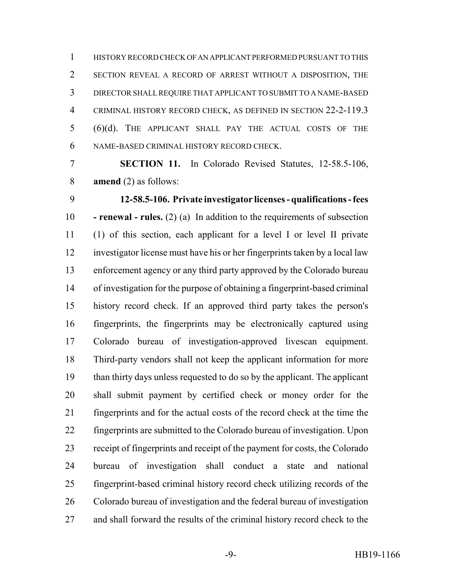HISTORY RECORD CHECK OF AN APPLICANT PERFORMED PURSUANT TO THIS SECTION REVEAL A RECORD OF ARREST WITHOUT A DISPOSITION, THE DIRECTOR SHALL REQUIRE THAT APPLICANT TO SUBMIT TO A NAME-BASED CRIMINAL HISTORY RECORD CHECK, AS DEFINED IN SECTION 22-2-119.3 (6)(d). THE APPLICANT SHALL PAY THE ACTUAL COSTS OF THE NAME-BASED CRIMINAL HISTORY RECORD CHECK.

 **SECTION 11.** In Colorado Revised Statutes, 12-58.5-106, **amend** (2) as follows:

 **12-58.5-106. Private investigator licenses - qualifications - fees - renewal - rules.** (2) (a) In addition to the requirements of subsection (1) of this section, each applicant for a level I or level II private investigator license must have his or her fingerprints taken by a local law enforcement agency or any third party approved by the Colorado bureau of investigation for the purpose of obtaining a fingerprint-based criminal history record check. If an approved third party takes the person's fingerprints, the fingerprints may be electronically captured using Colorado bureau of investigation-approved livescan equipment. Third-party vendors shall not keep the applicant information for more than thirty days unless requested to do so by the applicant. The applicant shall submit payment by certified check or money order for the fingerprints and for the actual costs of the record check at the time the fingerprints are submitted to the Colorado bureau of investigation. Upon receipt of fingerprints and receipt of the payment for costs, the Colorado bureau of investigation shall conduct a state and national fingerprint-based criminal history record check utilizing records of the Colorado bureau of investigation and the federal bureau of investigation and shall forward the results of the criminal history record check to the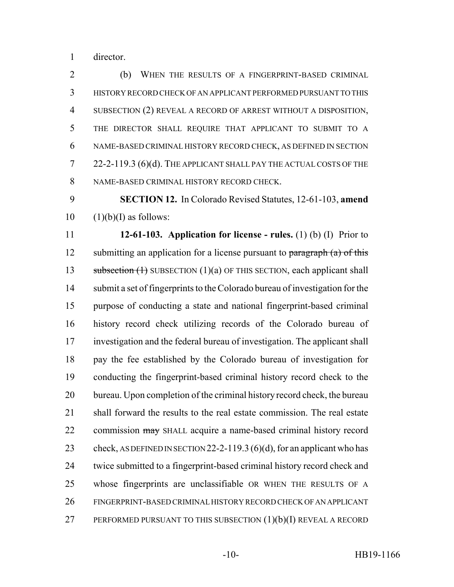director.

 (b) WHEN THE RESULTS OF A FINGERPRINT-BASED CRIMINAL HISTORY RECORD CHECK OF AN APPLICANT PERFORMED PURSUANT TO THIS SUBSECTION (2) REVEAL A RECORD OF ARREST WITHOUT A DISPOSITION, THE DIRECTOR SHALL REQUIRE THAT APPLICANT TO SUBMIT TO A NAME-BASED CRIMINAL HISTORY RECORD CHECK, AS DEFINED IN SECTION 22-2-119.3 (6)(d). THE APPLICANT SHALL PAY THE ACTUAL COSTS OF THE NAME-BASED CRIMINAL HISTORY RECORD CHECK.

 **SECTION 12.** In Colorado Revised Statutes, 12-61-103, **amend**  $10 \quad (1)(b)(I)$  as follows:

 **12-61-103. Application for license - rules.** (1) (b) (I) Prior to 12 submitting an application for a license pursuant to  $\frac{\partial}{\partial x}$  (a) of this 13 subsection (1) SUBSECTION (1)(a) OF THIS SECTION, each applicant shall submit a set of fingerprints to the Colorado bureau of investigation for the purpose of conducting a state and national fingerprint-based criminal history record check utilizing records of the Colorado bureau of investigation and the federal bureau of investigation. The applicant shall pay the fee established by the Colorado bureau of investigation for conducting the fingerprint-based criminal history record check to the 20 bureau. Upon completion of the criminal history record check, the bureau shall forward the results to the real estate commission. The real estate 22 commission may SHALL acquire a name-based criminal history record 23 check, AS DEFINED IN SECTION 22-2-119.3 (6)(d), for an applicant who has twice submitted to a fingerprint-based criminal history record check and whose fingerprints are unclassifiable OR WHEN THE RESULTS OF A FINGERPRINT-BASED CRIMINAL HISTORY RECORD CHECK OF AN APPLICANT 27 PERFORMED PURSUANT TO THIS SUBSECTION  $(1)(b)(I)$  REVEAL A RECORD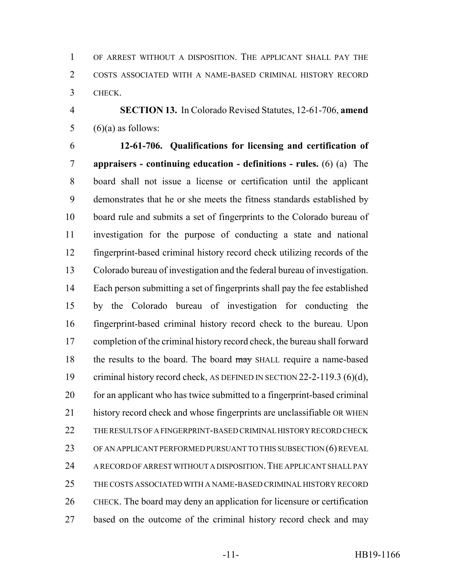OF ARREST WITHOUT A DISPOSITION. THE APPLICANT SHALL PAY THE COSTS ASSOCIATED WITH A NAME-BASED CRIMINAL HISTORY RECORD CHECK.

 **SECTION 13.** In Colorado Revised Statutes, 12-61-706, **amend** 5  $(6)(a)$  as follows:

 **12-61-706. Qualifications for licensing and certification of appraisers - continuing education - definitions - rules.** (6) (a) The board shall not issue a license or certification until the applicant demonstrates that he or she meets the fitness standards established by board rule and submits a set of fingerprints to the Colorado bureau of investigation for the purpose of conducting a state and national fingerprint-based criminal history record check utilizing records of the Colorado bureau of investigation and the federal bureau of investigation. Each person submitting a set of fingerprints shall pay the fee established by the Colorado bureau of investigation for conducting the fingerprint-based criminal history record check to the bureau. Upon completion of the criminal history record check, the bureau shall forward 18 the results to the board. The board may SHALL require a name-based 19 criminal history record check, AS DEFINED IN SECTION 22-2-119.3 (6)(d), for an applicant who has twice submitted to a fingerprint-based criminal history record check and whose fingerprints are unclassifiable OR WHEN THE RESULTS OF A FINGERPRINT-BASED CRIMINAL HISTORY RECORD CHECK OF AN APPLICANT PERFORMED PURSUANT TO THIS SUBSECTION (6) REVEAL A RECORD OF ARREST WITHOUT A DISPOSITION.THE APPLICANT SHALL PAY THE COSTS ASSOCIATED WITH A NAME-BASED CRIMINAL HISTORY RECORD CHECK. The board may deny an application for licensure or certification based on the outcome of the criminal history record check and may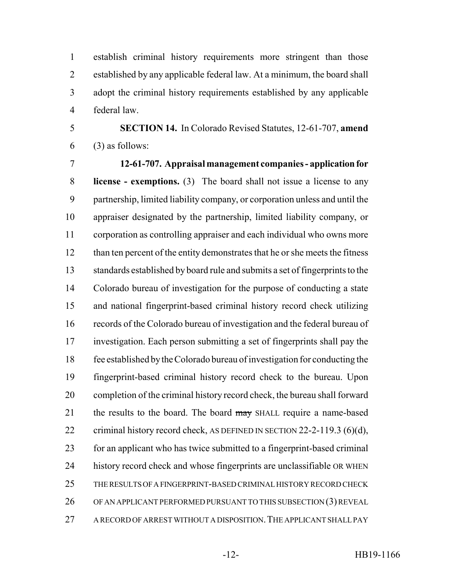establish criminal history requirements more stringent than those established by any applicable federal law. At a minimum, the board shall adopt the criminal history requirements established by any applicable federal law.

 **SECTION 14.** In Colorado Revised Statutes, 12-61-707, **amend** (3) as follows:

 **12-61-707. Appraisal management companies - application for license - exemptions.** (3) The board shall not issue a license to any partnership, limited liability company, or corporation unless and until the appraiser designated by the partnership, limited liability company, or corporation as controlling appraiser and each individual who owns more 12 than ten percent of the entity demonstrates that he or she meets the fitness standards established by board rule and submits a set of fingerprints to the Colorado bureau of investigation for the purpose of conducting a state and national fingerprint-based criminal history record check utilizing records of the Colorado bureau of investigation and the federal bureau of investigation. Each person submitting a set of fingerprints shall pay the fee established by the Colorado bureau of investigation for conducting the fingerprint-based criminal history record check to the bureau. Upon completion of the criminal history record check, the bureau shall forward 21 the results to the board. The board may SHALL require a name-based 22 criminal history record check, AS DEFINED IN SECTION 22-2-119.3 (6)(d), for an applicant who has twice submitted to a fingerprint-based criminal history record check and whose fingerprints are unclassifiable OR WHEN THE RESULTS OF A FINGERPRINT-BASED CRIMINAL HISTORY RECORD CHECK OF AN APPLICANT PERFORMED PURSUANT TO THIS SUBSECTION (3) REVEAL A RECORD OF ARREST WITHOUT A DISPOSITION.THE APPLICANT SHALL PAY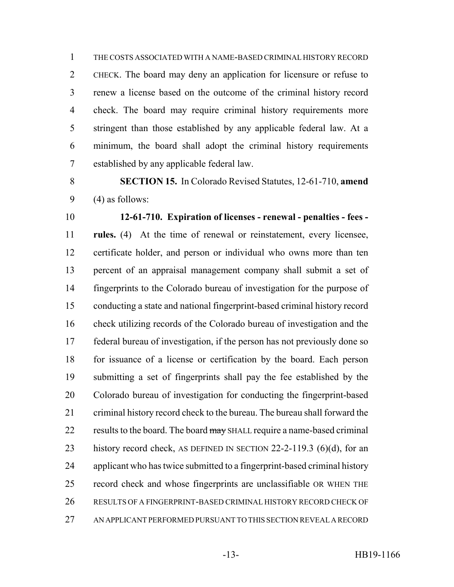THE COSTS ASSOCIATED WITH A NAME-BASED CRIMINAL HISTORY RECORD CHECK. The board may deny an application for licensure or refuse to renew a license based on the outcome of the criminal history record check. The board may require criminal history requirements more stringent than those established by any applicable federal law. At a minimum, the board shall adopt the criminal history requirements established by any applicable federal law.

 **SECTION 15.** In Colorado Revised Statutes, 12-61-710, **amend**  $9 \qquad (4)$  as follows:

 **12-61-710. Expiration of licenses - renewal - penalties - fees - rules.** (4) At the time of renewal or reinstatement, every licensee, certificate holder, and person or individual who owns more than ten percent of an appraisal management company shall submit a set of fingerprints to the Colorado bureau of investigation for the purpose of conducting a state and national fingerprint-based criminal history record check utilizing records of the Colorado bureau of investigation and the federal bureau of investigation, if the person has not previously done so for issuance of a license or certification by the board. Each person submitting a set of fingerprints shall pay the fee established by the Colorado bureau of investigation for conducting the fingerprint-based criminal history record check to the bureau. The bureau shall forward the 22 results to the board. The board may SHALL require a name-based criminal 23 history record check, AS DEFINED IN SECTION 22-2-119.3 (6)(d), for an applicant who has twice submitted to a fingerprint-based criminal history record check and whose fingerprints are unclassifiable OR WHEN THE RESULTS OF A FINGERPRINT-BASED CRIMINAL HISTORY RECORD CHECK OF AN APPLICANT PERFORMED PURSUANT TO THIS SECTION REVEAL A RECORD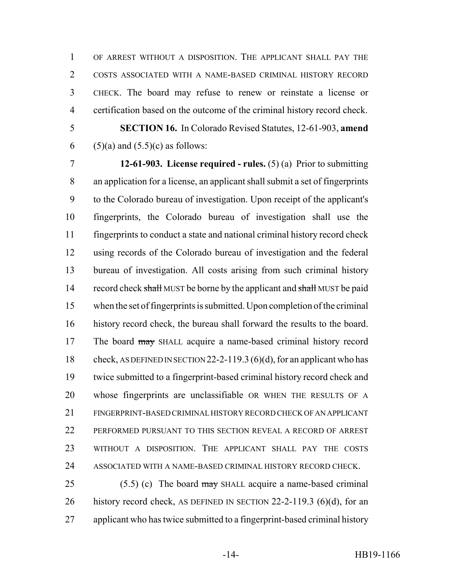OF ARREST WITHOUT A DISPOSITION. THE APPLICANT SHALL PAY THE COSTS ASSOCIATED WITH A NAME-BASED CRIMINAL HISTORY RECORD CHECK. The board may refuse to renew or reinstate a license or certification based on the outcome of the criminal history record check.

 **SECTION 16.** In Colorado Revised Statutes, 12-61-903, **amend** 6 (5)(a) and  $(5.5)(c)$  as follows:

 **12-61-903. License required - rules.** (5) (a) Prior to submitting an application for a license, an applicant shall submit a set of fingerprints to the Colorado bureau of investigation. Upon receipt of the applicant's fingerprints, the Colorado bureau of investigation shall use the fingerprints to conduct a state and national criminal history record check using records of the Colorado bureau of investigation and the federal bureau of investigation. All costs arising from such criminal history 14 record check shall MUST be borne by the applicant and shall MUST be paid when the set of fingerprints is submitted. Upon completion of the criminal history record check, the bureau shall forward the results to the board. 17 The board may SHALL acquire a name-based criminal history record 18 check, AS DEFINED IN SECTION 22-2-119.3 (6)(d), for an applicant who has twice submitted to a fingerprint-based criminal history record check and whose fingerprints are unclassifiable OR WHEN THE RESULTS OF A FINGERPRINT-BASED CRIMINAL HISTORY RECORD CHECK OF AN APPLICANT PERFORMED PURSUANT TO THIS SECTION REVEAL A RECORD OF ARREST WITHOUT A DISPOSITION. THE APPLICANT SHALL PAY THE COSTS ASSOCIATED WITH A NAME-BASED CRIMINAL HISTORY RECORD CHECK.

25 (5.5) (c) The board  $\frac{may}{may}$  SHALL acquire a name-based criminal 26 history record check, AS DEFINED IN SECTION 22-2-119.3 (6)(d), for an applicant who has twice submitted to a fingerprint-based criminal history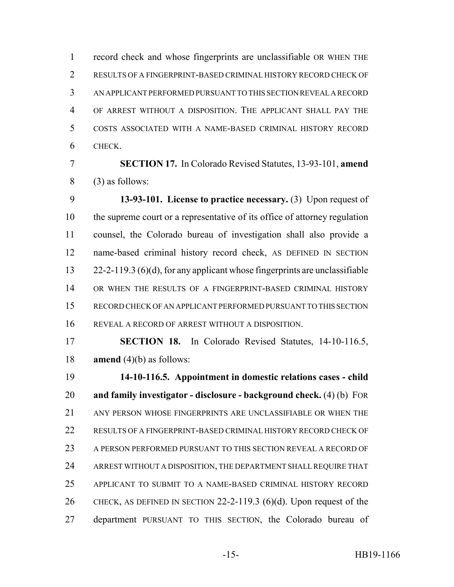record check and whose fingerprints are unclassifiable OR WHEN THE RESULTS OF A FINGERPRINT-BASED CRIMINAL HISTORY RECORD CHECK OF AN APPLICANT PERFORMED PURSUANT TO THIS SECTION REVEAL A RECORD OF ARREST WITHOUT A DISPOSITION. THE APPLICANT SHALL PAY THE COSTS ASSOCIATED WITH A NAME-BASED CRIMINAL HISTORY RECORD CHECK.

 **SECTION 17.** In Colorado Revised Statutes, 13-93-101, **amend** (3) as follows:

 **13-93-101. License to practice necessary.** (3) Upon request of the supreme court or a representative of its office of attorney regulation counsel, the Colorado bureau of investigation shall also provide a name-based criminal history record check, AS DEFINED IN SECTION 22-2-119.3 (6)(d), for any applicant whose fingerprints are unclassifiable OR WHEN THE RESULTS OF A FINGERPRINT-BASED CRIMINAL HISTORY RECORD CHECK OF AN APPLICANT PERFORMED PURSUANT TO THIS SECTION REVEAL A RECORD OF ARREST WITHOUT A DISPOSITION.

 **SECTION 18.** In Colorado Revised Statutes, 14-10-116.5, **amend** (4)(b) as follows:

 **14-10-116.5. Appointment in domestic relations cases - child and family investigator - disclosure - background check.** (4) (b) FOR 21 ANY PERSON WHOSE FINGERPRINTS ARE UNCLASSIFIABLE OR WHEN THE RESULTS OF A FINGERPRINT-BASED CRIMINAL HISTORY RECORD CHECK OF A PERSON PERFORMED PURSUANT TO THIS SECTION REVEAL A RECORD OF ARREST WITHOUT A DISPOSITION, THE DEPARTMENT SHALL REQUIRE THAT APPLICANT TO SUBMIT TO A NAME-BASED CRIMINAL HISTORY RECORD CHECK, AS DEFINED IN SECTION 22-2-119.3 (6)(d). Upon request of the department PURSUANT TO THIS SECTION, the Colorado bureau of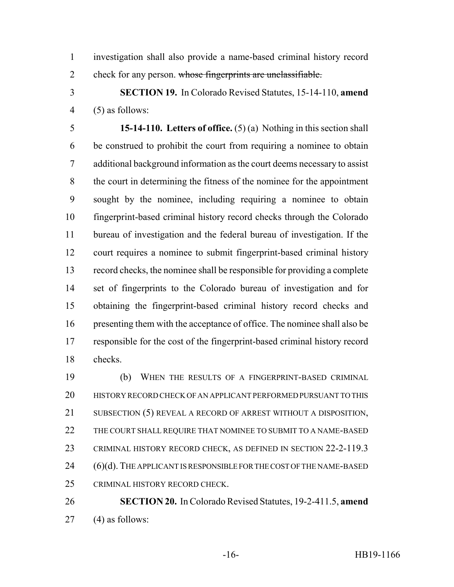investigation shall also provide a name-based criminal history record 2 check for any person. whose fingerprints are unclassifiable.

 **SECTION 19.** In Colorado Revised Statutes, 15-14-110, **amend** (5) as follows:

 **15-14-110. Letters of office.** (5) (a) Nothing in this section shall be construed to prohibit the court from requiring a nominee to obtain additional background information as the court deems necessary to assist the court in determining the fitness of the nominee for the appointment sought by the nominee, including requiring a nominee to obtain fingerprint-based criminal history record checks through the Colorado bureau of investigation and the federal bureau of investigation. If the court requires a nominee to submit fingerprint-based criminal history record checks, the nominee shall be responsible for providing a complete set of fingerprints to the Colorado bureau of investigation and for obtaining the fingerprint-based criminal history record checks and presenting them with the acceptance of office. The nominee shall also be responsible for the cost of the fingerprint-based criminal history record checks.

 (b) WHEN THE RESULTS OF A FINGERPRINT-BASED CRIMINAL HISTORY RECORD CHECK OF AN APPLICANT PERFORMED PURSUANT TO THIS 21 SUBSECTION (5) REVEAL A RECORD OF ARREST WITHOUT A DISPOSITION, THE COURT SHALL REQUIRE THAT NOMINEE TO SUBMIT TO A NAME-BASED CRIMINAL HISTORY RECORD CHECK, AS DEFINED IN SECTION 22-2-119.3 24 (6)(d). THE APPLICANT IS RESPONSIBLE FOR THE COST OF THE NAME-BASED CRIMINAL HISTORY RECORD CHECK.

 **SECTION 20.** In Colorado Revised Statutes, 19-2-411.5, **amend** (4) as follows: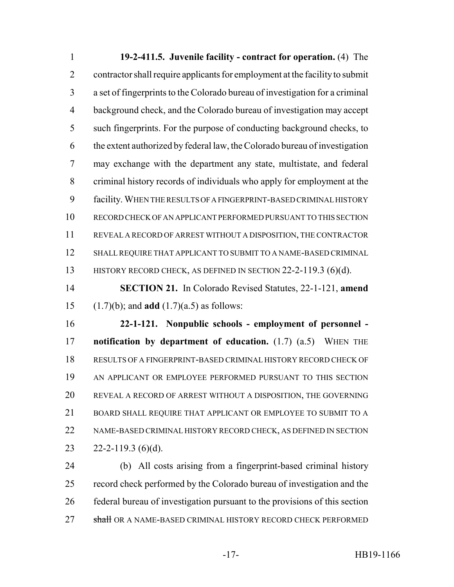**19-2-411.5. Juvenile facility - contract for operation.** (4) The contractor shall require applicants for employment at the facility to submit a set of fingerprints to the Colorado bureau of investigation for a criminal background check, and the Colorado bureau of investigation may accept such fingerprints. For the purpose of conducting background checks, to the extent authorized by federal law, the Colorado bureau of investigation may exchange with the department any state, multistate, and federal criminal history records of individuals who apply for employment at the facility. WHEN THE RESULTS OF A FINGERPRINT-BASED CRIMINAL HISTORY RECORD CHECK OF AN APPLICANT PERFORMED PURSUANT TO THIS SECTION REVEAL A RECORD OF ARREST WITHOUT A DISPOSITION, THE CONTRACTOR SHALL REQUIRE THAT APPLICANT TO SUBMIT TO A NAME-BASED CRIMINAL 13 HISTORY RECORD CHECK, AS DEFINED IN SECTION 22-2-119.3 (6)(d).

 **SECTION 21.** In Colorado Revised Statutes, 22-1-121, **amend** (1.7)(b); and **add** (1.7)(a.5) as follows:

 **22-1-121. Nonpublic schools - employment of personnel - notification by department of education.** (1.7) (a.5) WHEN THE RESULTS OF A FINGERPRINT-BASED CRIMINAL HISTORY RECORD CHECK OF AN APPLICANT OR EMPLOYEE PERFORMED PURSUANT TO THIS SECTION REVEAL A RECORD OF ARREST WITHOUT A DISPOSITION, THE GOVERNING BOARD SHALL REQUIRE THAT APPLICANT OR EMPLOYEE TO SUBMIT TO A NAME-BASED CRIMINAL HISTORY RECORD CHECK, AS DEFINED IN SECTION  $22 - 2 - 119.3$  (6)(d).

 (b) All costs arising from a fingerprint-based criminal history record check performed by the Colorado bureau of investigation and the federal bureau of investigation pursuant to the provisions of this section 27 shall OR A NAME-BASED CRIMINAL HISTORY RECORD CHECK PERFORMED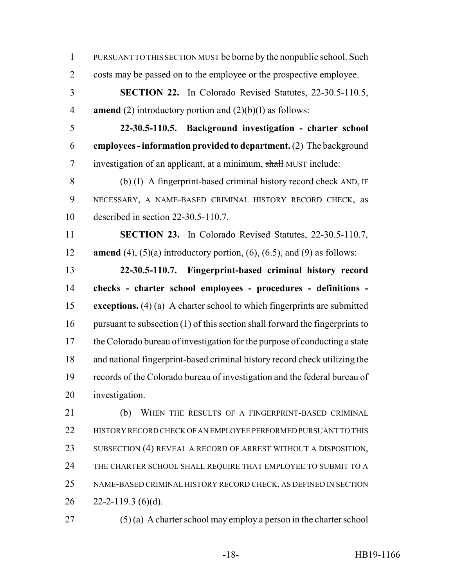PURSUANT TO THIS SECTION MUST be borne by the nonpublic school. Such costs may be passed on to the employee or the prospective employee.

 **SECTION 22.** In Colorado Revised Statutes, 22-30.5-110.5, **amend** (2) introductory portion and (2)(b)(I) as follows:

 **22-30.5-110.5. Background investigation - charter school employees - information provided to department.** (2) The background investigation of an applicant, at a minimum, shall MUST include:

 (b) (I) A fingerprint-based criminal history record check AND, IF NECESSARY, A NAME-BASED CRIMINAL HISTORY RECORD CHECK, as described in section 22-30.5-110.7.

 **SECTION 23.** In Colorado Revised Statutes, 22-30.5-110.7, **amend** (4), (5)(a) introductory portion, (6), (6.5), and (9) as follows:

 **22-30.5-110.7. Fingerprint-based criminal history record checks - charter school employees - procedures - definitions - exceptions.** (4) (a) A charter school to which fingerprints are submitted 16 pursuant to subsection (1) of this section shall forward the fingerprints to the Colorado bureau of investigation for the purpose of conducting a state and national fingerprint-based criminal history record check utilizing the records of the Colorado bureau of investigation and the federal bureau of investigation.

21 (b) WHEN THE RESULTS OF A FINGERPRINT-BASED CRIMINAL HISTORY RECORD CHECK OF AN EMPLOYEE PERFORMED PURSUANT TO THIS SUBSECTION (4) REVEAL A RECORD OF ARREST WITHOUT A DISPOSITION, THE CHARTER SCHOOL SHALL REQUIRE THAT EMPLOYEE TO SUBMIT TO A NAME-BASED CRIMINAL HISTORY RECORD CHECK, AS DEFINED IN SECTION  $26 \quad 22 - 2 - 119.3$  (6)(d).

(5) (a) A charter school may employ a person in the charter school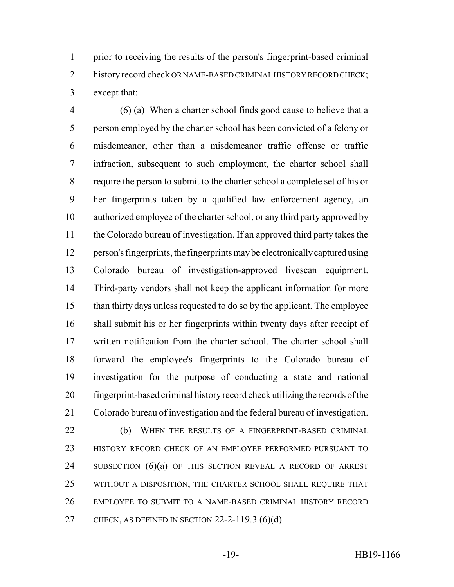prior to receiving the results of the person's fingerprint-based criminal 2 history record check OR NAME-BASED CRIMINAL HISTORY RECORD CHECK; except that:

 (6) (a) When a charter school finds good cause to believe that a person employed by the charter school has been convicted of a felony or misdemeanor, other than a misdemeanor traffic offense or traffic infraction, subsequent to such employment, the charter school shall require the person to submit to the charter school a complete set of his or her fingerprints taken by a qualified law enforcement agency, an authorized employee of the charter school, or any third party approved by the Colorado bureau of investigation. If an approved third party takes the person's fingerprints, the fingerprints may be electronically captured using Colorado bureau of investigation-approved livescan equipment. Third-party vendors shall not keep the applicant information for more than thirty days unless requested to do so by the applicant. The employee shall submit his or her fingerprints within twenty days after receipt of written notification from the charter school. The charter school shall forward the employee's fingerprints to the Colorado bureau of investigation for the purpose of conducting a state and national fingerprint-based criminal history record check utilizing the records of the Colorado bureau of investigation and the federal bureau of investigation.

22 (b) WHEN THE RESULTS OF A FINGERPRINT-BASED CRIMINAL HISTORY RECORD CHECK OF AN EMPLOYEE PERFORMED PURSUANT TO 24 SUBSECTION (6)(a) OF THIS SECTION REVEAL A RECORD OF ARREST WITHOUT A DISPOSITION, THE CHARTER SCHOOL SHALL REQUIRE THAT EMPLOYEE TO SUBMIT TO A NAME-BASED CRIMINAL HISTORY RECORD CHECK, AS DEFINED IN SECTION 22-2-119.3 (6)(d).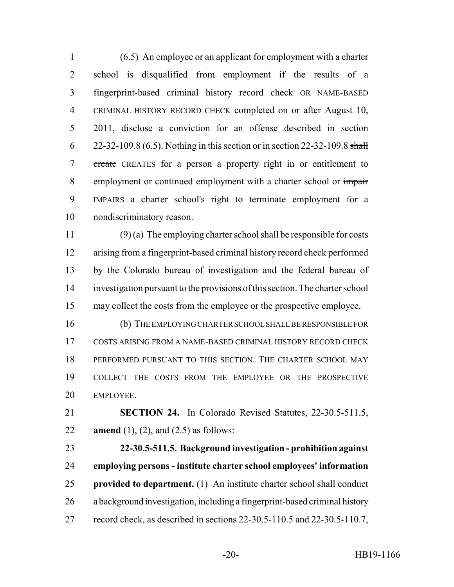(6.5) An employee or an applicant for employment with a charter school is disqualified from employment if the results of a fingerprint-based criminal history record check OR NAME-BASED CRIMINAL HISTORY RECORD CHECK completed on or after August 10, 2011, disclose a conviction for an offense described in section 6 22-32-109.8 (6.5). Nothing in this section or in section 22-32-109.8 shall create CREATES for a person a property right in or entitlement to 8 employment or continued employment with a charter school or impair IMPAIRS a charter school's right to terminate employment for a nondiscriminatory reason.

 (9) (a) The employing charter school shall be responsible for costs arising from a fingerprint-based criminal history record check performed by the Colorado bureau of investigation and the federal bureau of investigation pursuant to the provisions of this section. The charter school may collect the costs from the employee or the prospective employee.

 (b) THE EMPLOYING CHARTER SCHOOL SHALL BE RESPONSIBLE FOR COSTS ARISING FROM A NAME-BASED CRIMINAL HISTORY RECORD CHECK PERFORMED PURSUANT TO THIS SECTION. THE CHARTER SCHOOL MAY COLLECT THE COSTS FROM THE EMPLOYEE OR THE PROSPECTIVE EMPLOYEE.

 **SECTION 24.** In Colorado Revised Statutes, 22-30.5-511.5, **amend** (1), (2), and (2.5) as follows:

 **22-30.5-511.5. Background investigation - prohibition against employing persons - institute charter school employees' information provided to department.** (1) An institute charter school shall conduct a background investigation, including a fingerprint-based criminal history record check, as described in sections 22-30.5-110.5 and 22-30.5-110.7,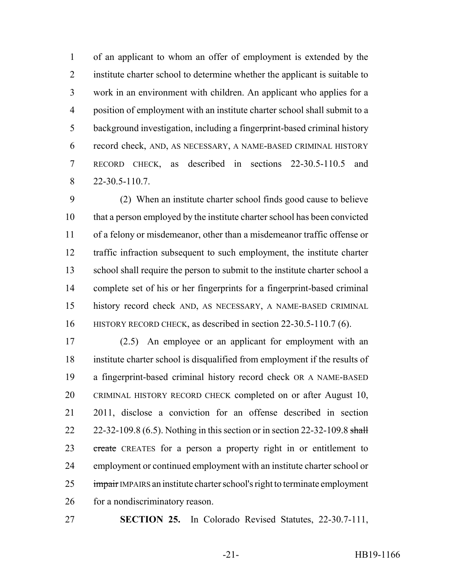of an applicant to whom an offer of employment is extended by the institute charter school to determine whether the applicant is suitable to work in an environment with children. An applicant who applies for a position of employment with an institute charter school shall submit to a background investigation, including a fingerprint-based criminal history record check, AND, AS NECESSARY, A NAME-BASED CRIMINAL HISTORY RECORD CHECK, as described in sections 22-30.5-110.5 and 22-30.5-110.7.

 (2) When an institute charter school finds good cause to believe that a person employed by the institute charter school has been convicted of a felony or misdemeanor, other than a misdemeanor traffic offense or traffic infraction subsequent to such employment, the institute charter school shall require the person to submit to the institute charter school a complete set of his or her fingerprints for a fingerprint-based criminal history record check AND, AS NECESSARY, A NAME-BASED CRIMINAL HISTORY RECORD CHECK, as described in section 22-30.5-110.7 (6).

 (2.5) An employee or an applicant for employment with an institute charter school is disqualified from employment if the results of a fingerprint-based criminal history record check OR A NAME-BASED CRIMINAL HISTORY RECORD CHECK completed on or after August 10, 2011, disclose a conviction for an offense described in section 22 22-32-109.8 (6.5). Nothing in this section or in section 22-32-109.8 shall 23 create CREATES for a person a property right in or entitlement to employment or continued employment with an institute charter school or 25 impair IMPAIRS an institute charter school's right to terminate employment for a nondiscriminatory reason.

**SECTION 25.** In Colorado Revised Statutes, 22-30.7-111,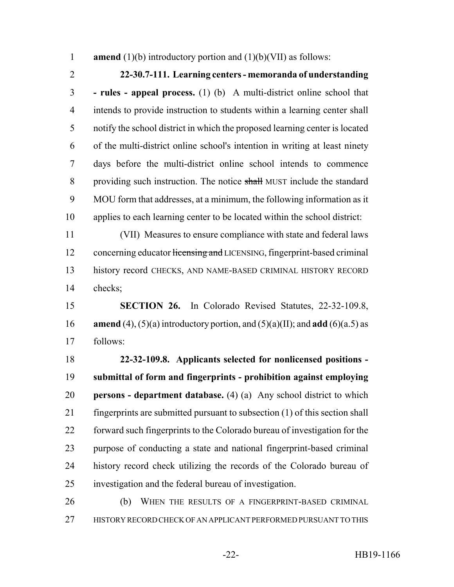**amend** (1)(b) introductory portion and (1)(b)(VII) as follows:

## **22-30.7-111. Learning centers - memoranda of understanding**

 **- rules - appeal process.** (1) (b) A multi-district online school that intends to provide instruction to students within a learning center shall notify the school district in which the proposed learning center is located of the multi-district online school's intention in writing at least ninety days before the multi-district online school intends to commence 8 providing such instruction. The notice shall MUST include the standard MOU form that addresses, at a minimum, the following information as it applies to each learning center to be located within the school district:

 (VII) Measures to ensure compliance with state and federal laws 12 concerning educator licensing and LICENSING, fingerprint-based criminal history record CHECKS, AND NAME-BASED CRIMINAL HISTORY RECORD checks;

 **SECTION 26.** In Colorado Revised Statutes, 22-32-109.8, **amend** (4), (5)(a) introductory portion, and (5)(a)(II); and **add** (6)(a.5) as follows:

 **22-32-109.8. Applicants selected for nonlicensed positions - submittal of form and fingerprints - prohibition against employing persons - department database.** (4) (a) Any school district to which fingerprints are submitted pursuant to subsection (1) of this section shall forward such fingerprints to the Colorado bureau of investigation for the purpose of conducting a state and national fingerprint-based criminal history record check utilizing the records of the Colorado bureau of investigation and the federal bureau of investigation.

 (b) WHEN THE RESULTS OF A FINGERPRINT-BASED CRIMINAL HISTORY RECORD CHECK OF AN APPLICANT PERFORMED PURSUANT TO THIS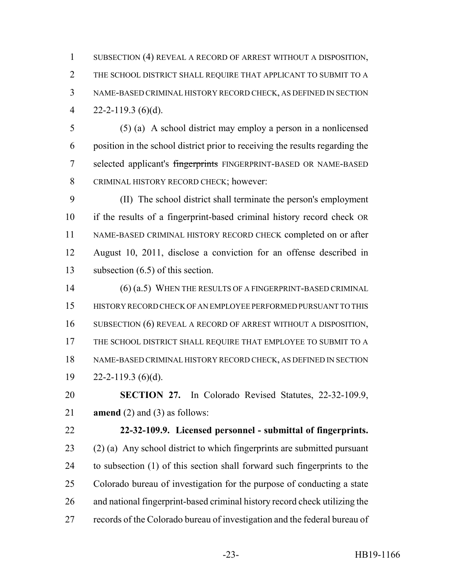SUBSECTION (4) REVEAL A RECORD OF ARREST WITHOUT A DISPOSITION, THE SCHOOL DISTRICT SHALL REQUIRE THAT APPLICANT TO SUBMIT TO A NAME-BASED CRIMINAL HISTORY RECORD CHECK, AS DEFINED IN SECTION 4 22-2-119.3 (6)(d).

 (5) (a) A school district may employ a person in a nonlicensed position in the school district prior to receiving the results regarding the 7 selected applicant's fingerprints FINGERPRINT-BASED OR NAME-BASED CRIMINAL HISTORY RECORD CHECK; however:

 (II) The school district shall terminate the person's employment if the results of a fingerprint-based criminal history record check OR NAME-BASED CRIMINAL HISTORY RECORD CHECK completed on or after August 10, 2011, disclose a conviction for an offense described in subsection (6.5) of this section.

14 (6) (a.5) WHEN THE RESULTS OF A FINGERPRINT-BASED CRIMINAL HISTORY RECORD CHECK OF AN EMPLOYEE PERFORMED PURSUANT TO THIS SUBSECTION (6) REVEAL A RECORD OF ARREST WITHOUT A DISPOSITION, THE SCHOOL DISTRICT SHALL REQUIRE THAT EMPLOYEE TO SUBMIT TO A NAME-BASED CRIMINAL HISTORY RECORD CHECK, AS DEFINED IN SECTION  $19 \qquad 22 - 2 - 119.3$  (6)(d).

 **SECTION 27.** In Colorado Revised Statutes, 22-32-109.9, **amend** (2) and (3) as follows:

 **22-32-109.9. Licensed personnel - submittal of fingerprints.** (2) (a) Any school district to which fingerprints are submitted pursuant to subsection (1) of this section shall forward such fingerprints to the Colorado bureau of investigation for the purpose of conducting a state and national fingerprint-based criminal history record check utilizing the records of the Colorado bureau of investigation and the federal bureau of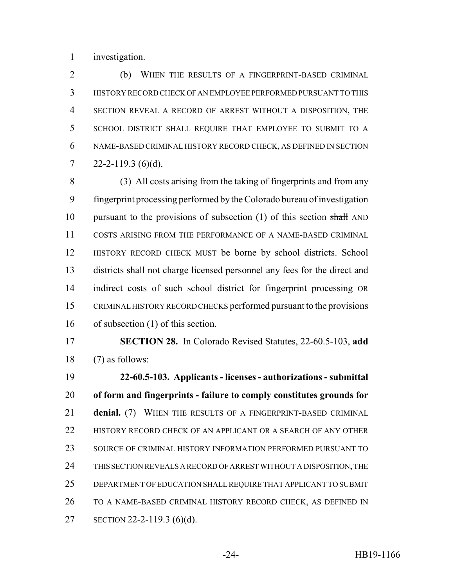investigation.

 (b) WHEN THE RESULTS OF A FINGERPRINT-BASED CRIMINAL HISTORY RECORD CHECK OF AN EMPLOYEE PERFORMED PURSUANT TO THIS SECTION REVEAL A RECORD OF ARREST WITHOUT A DISPOSITION, THE SCHOOL DISTRICT SHALL REQUIRE THAT EMPLOYEE TO SUBMIT TO A NAME-BASED CRIMINAL HISTORY RECORD CHECK, AS DEFINED IN SECTION  $7 \qquad 22 - 2 - 119.3$  (6)(d).

 (3) All costs arising from the taking of fingerprints and from any fingerprint processing performed by the Colorado bureau of investigation 10 pursuant to the provisions of subsection (1) of this section shall AND COSTS ARISING FROM THE PERFORMANCE OF A NAME-BASED CRIMINAL HISTORY RECORD CHECK MUST be borne by school districts. School districts shall not charge licensed personnel any fees for the direct and indirect costs of such school district for fingerprint processing OR CRIMINAL HISTORY RECORD CHECKS performed pursuant to the provisions of subsection (1) of this section.

 **SECTION 28.** In Colorado Revised Statutes, 22-60.5-103, **add** (7) as follows:

 **22-60.5-103. Applicants - licenses - authorizations - submittal of form and fingerprints - failure to comply constitutes grounds for denial.** (7) WHEN THE RESULTS OF A FINGERPRINT-BASED CRIMINAL 22 HISTORY RECORD CHECK OF AN APPLICANT OR A SEARCH OF ANY OTHER SOURCE OF CRIMINAL HISTORY INFORMATION PERFORMED PURSUANT TO THIS SECTION REVEALS A RECORD OF ARREST WITHOUT A DISPOSITION, THE DEPARTMENT OF EDUCATION SHALL REQUIRE THAT APPLICANT TO SUBMIT TO A NAME-BASED CRIMINAL HISTORY RECORD CHECK, AS DEFINED IN SECTION 22-2-119.3 (6)(d).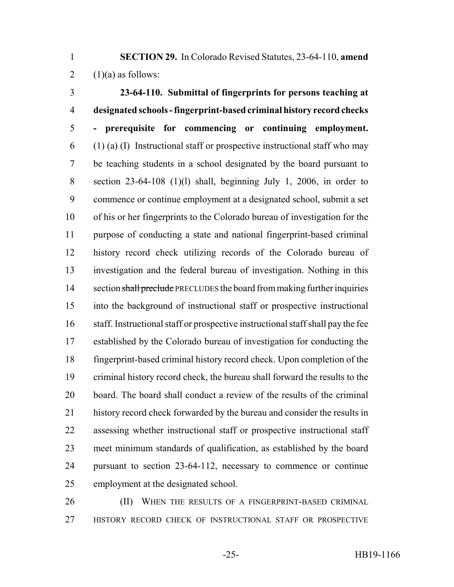**SECTION 29.** In Colorado Revised Statutes, 23-64-110, **amend** 2  $(1)(a)$  as follows:

 **23-64-110. Submittal of fingerprints for persons teaching at designated schools - fingerprint-based criminal history record checks - prerequisite for commencing or continuing employment.**  $\mathfrak{h}$  (1) (a) (I) Instructional staff or prospective instructional staff who may be teaching students in a school designated by the board pursuant to section 23-64-108 (1)(l) shall, beginning July 1, 2006, in order to commence or continue employment at a designated school, submit a set of his or her fingerprints to the Colorado bureau of investigation for the purpose of conducting a state and national fingerprint-based criminal history record check utilizing records of the Colorado bureau of investigation and the federal bureau of investigation. Nothing in this 14 section shall preclude PRECLUDES the board from making further inquiries into the background of instructional staff or prospective instructional staff. Instructional staff or prospective instructional staff shall pay the fee established by the Colorado bureau of investigation for conducting the fingerprint-based criminal history record check. Upon completion of the criminal history record check, the bureau shall forward the results to the board. The board shall conduct a review of the results of the criminal history record check forwarded by the bureau and consider the results in assessing whether instructional staff or prospective instructional staff meet minimum standards of qualification, as established by the board pursuant to section 23-64-112, necessary to commence or continue employment at the designated school.

26 (II) WHEN THE RESULTS OF A FINGERPRINT-BASED CRIMINAL 27 HISTORY RECORD CHECK OF INSTRUCTIONAL STAFF OR PROSPECTIVE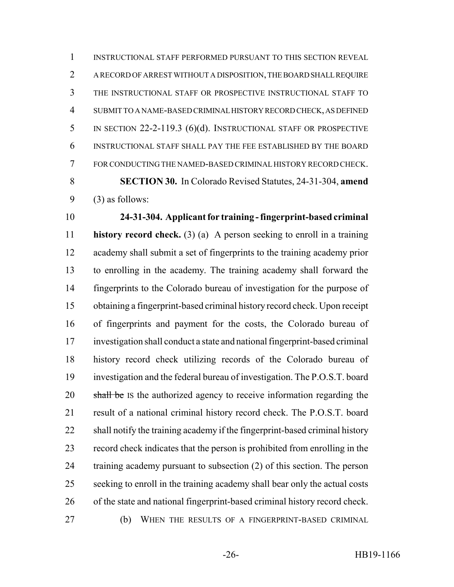INSTRUCTIONAL STAFF PERFORMED PURSUANT TO THIS SECTION REVEAL A RECORD OF ARREST WITHOUT A DISPOSITION, THE BOARD SHALL REQUIRE THE INSTRUCTIONAL STAFF OR PROSPECTIVE INSTRUCTIONAL STAFF TO SUBMIT TO A NAME-BASED CRIMINAL HISTORY RECORD CHECK, AS DEFINED IN SECTION 22-2-119.3 (6)(d). INSTRUCTIONAL STAFF OR PROSPECTIVE INSTRUCTIONAL STAFF SHALL PAY THE FEE ESTABLISHED BY THE BOARD FOR CONDUCTING THE NAMED-BASED CRIMINAL HISTORY RECORD CHECK. **SECTION 30.** In Colorado Revised Statutes, 24-31-304, **amend** (3) as follows:

 **24-31-304. Applicant for training - fingerprint-based criminal history record check.** (3) (a) A person seeking to enroll in a training academy shall submit a set of fingerprints to the training academy prior to enrolling in the academy. The training academy shall forward the fingerprints to the Colorado bureau of investigation for the purpose of obtaining a fingerprint-based criminal history record check. Upon receipt of fingerprints and payment for the costs, the Colorado bureau of investigation shall conduct a state and national fingerprint-based criminal history record check utilizing records of the Colorado bureau of investigation and the federal bureau of investigation. The P.O.S.T. board 20 shall be IS the authorized agency to receive information regarding the result of a national criminal history record check. The P.O.S.T. board shall notify the training academy if the fingerprint-based criminal history record check indicates that the person is prohibited from enrolling in the training academy pursuant to subsection (2) of this section. The person seeking to enroll in the training academy shall bear only the actual costs of the state and national fingerprint-based criminal history record check. (b) WHEN THE RESULTS OF A FINGERPRINT-BASED CRIMINAL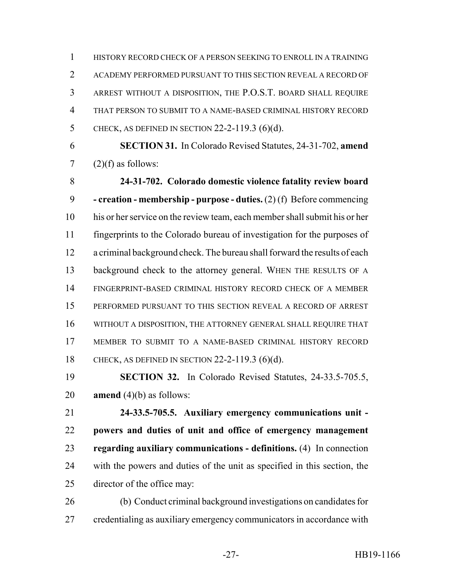HISTORY RECORD CHECK OF A PERSON SEEKING TO ENROLL IN A TRAINING ACADEMY PERFORMED PURSUANT TO THIS SECTION REVEAL A RECORD OF ARREST WITHOUT A DISPOSITION, THE P.O.S.T. BOARD SHALL REQUIRE THAT PERSON TO SUBMIT TO A NAME-BASED CRIMINAL HISTORY RECORD CHECK, AS DEFINED IN SECTION 22-2-119.3 (6)(d).

 **SECTION 31.** In Colorado Revised Statutes, 24-31-702, **amend** 7  $(2)(f)$  as follows:

 **24-31-702. Colorado domestic violence fatality review board - creation - membership - purpose - duties.** (2) (f) Before commencing his or her service on the review team, each member shall submit his or her fingerprints to the Colorado bureau of investigation for the purposes of a criminal background check. The bureau shall forward the results of each background check to the attorney general. WHEN THE RESULTS OF A FINGERPRINT-BASED CRIMINAL HISTORY RECORD CHECK OF A MEMBER PERFORMED PURSUANT TO THIS SECTION REVEAL A RECORD OF ARREST WITHOUT A DISPOSITION, THE ATTORNEY GENERAL SHALL REQUIRE THAT MEMBER TO SUBMIT TO A NAME-BASED CRIMINAL HISTORY RECORD CHECK, AS DEFINED IN SECTION 22-2-119.3 (6)(d).

 **SECTION 32.** In Colorado Revised Statutes, 24-33.5-705.5, **amend** (4)(b) as follows:

 **24-33.5-705.5. Auxiliary emergency communications unit - powers and duties of unit and office of emergency management regarding auxiliary communications - definitions.** (4) In connection with the powers and duties of the unit as specified in this section, the director of the office may:

 (b) Conduct criminal background investigations on candidates for credentialing as auxiliary emergency communicators in accordance with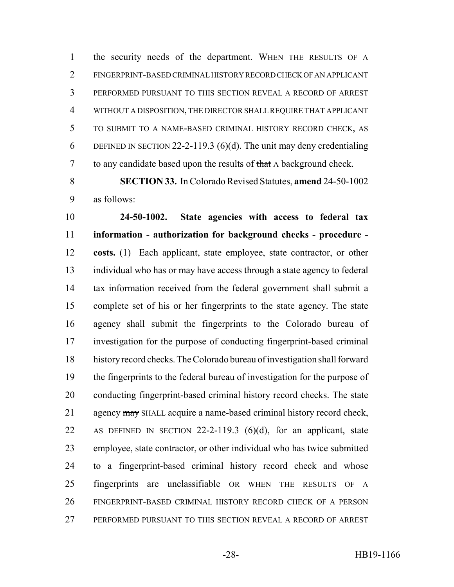the security needs of the department. WHEN THE RESULTS OF A FINGERPRINT-BASED CRIMINAL HISTORY RECORD CHECK OF AN APPLICANT PERFORMED PURSUANT TO THIS SECTION REVEAL A RECORD OF ARREST WITHOUT A DISPOSITION, THE DIRECTOR SHALL REQUIRE THAT APPLICANT TO SUBMIT TO A NAME-BASED CRIMINAL HISTORY RECORD CHECK, AS 6 DEFINED IN SECTION 22-2-119.3 (6)(d). The unit may deny credentialing 7 to any candidate based upon the results of that A background check.

 **SECTION 33.** In Colorado Revised Statutes, **amend** 24-50-1002 as follows:

 **24-50-1002. State agencies with access to federal tax information - authorization for background checks - procedure - costs.** (1) Each applicant, state employee, state contractor, or other individual who has or may have access through a state agency to federal tax information received from the federal government shall submit a complete set of his or her fingerprints to the state agency. The state agency shall submit the fingerprints to the Colorado bureau of investigation for the purpose of conducting fingerprint-based criminal history record checks. The Colorado bureau of investigation shall forward the fingerprints to the federal bureau of investigation for the purpose of conducting fingerprint-based criminal history record checks. The state 21 agency may SHALL acquire a name-based criminal history record check, AS DEFINED IN SECTION 22-2-119.3 (6)(d), for an applicant, state employee, state contractor, or other individual who has twice submitted to a fingerprint-based criminal history record check and whose fingerprints are unclassifiable OR WHEN THE RESULTS OF A FINGERPRINT-BASED CRIMINAL HISTORY RECORD CHECK OF A PERSON PERFORMED PURSUANT TO THIS SECTION REVEAL A RECORD OF ARREST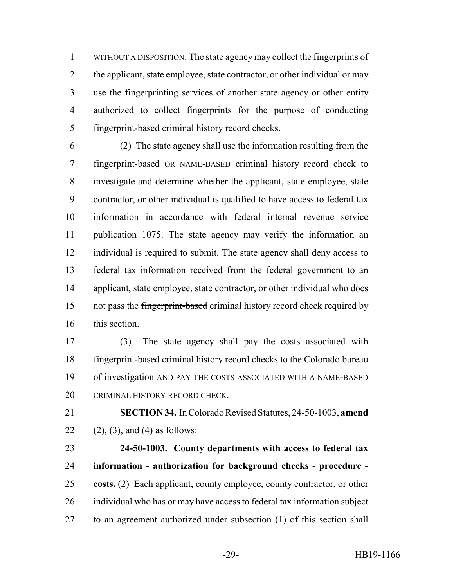WITHOUT A DISPOSITION. The state agency may collect the fingerprints of 2 the applicant, state employee, state contractor, or other individual or may use the fingerprinting services of another state agency or other entity authorized to collect fingerprints for the purpose of conducting fingerprint-based criminal history record checks.

 (2) The state agency shall use the information resulting from the fingerprint-based OR NAME-BASED criminal history record check to investigate and determine whether the applicant, state employee, state contractor, or other individual is qualified to have access to federal tax information in accordance with federal internal revenue service publication 1075. The state agency may verify the information an individual is required to submit. The state agency shall deny access to federal tax information received from the federal government to an applicant, state employee, state contractor, or other individual who does 15 not pass the fingerprint-based criminal history record check required by this section.

 (3) The state agency shall pay the costs associated with fingerprint-based criminal history record checks to the Colorado bureau of investigation AND PAY THE COSTS ASSOCIATED WITH A NAME-BASED CRIMINAL HISTORY RECORD CHECK.

 **SECTION 34.** In Colorado Revised Statutes, 24-50-1003, **amend** 22 (2), (3), and (4) as follows:

 **24-50-1003. County departments with access to federal tax information - authorization for background checks - procedure - costs.** (2) Each applicant, county employee, county contractor, or other individual who has or may have access to federal tax information subject to an agreement authorized under subsection (1) of this section shall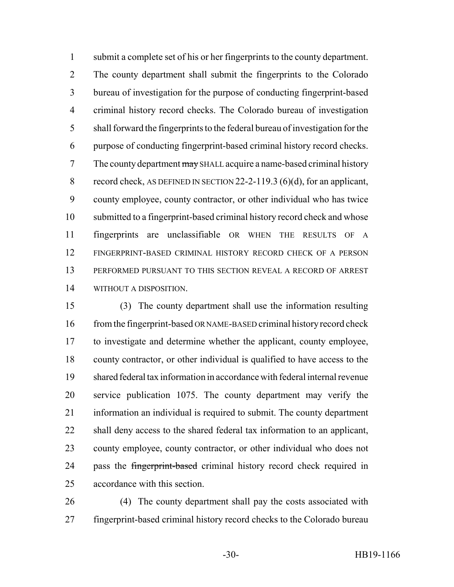submit a complete set of his or her fingerprints to the county department. The county department shall submit the fingerprints to the Colorado bureau of investigation for the purpose of conducting fingerprint-based criminal history record checks. The Colorado bureau of investigation shall forward the fingerprints to the federal bureau of investigation for the purpose of conducting fingerprint-based criminal history record checks. 7 The county department may SHALL acquire a name-based criminal history 8 record check, AS DEFINED IN SECTION 22-2-119.3 (6)(d), for an applicant, county employee, county contractor, or other individual who has twice submitted to a fingerprint-based criminal history record check and whose fingerprints are unclassifiable OR WHEN THE RESULTS OF A FINGERPRINT-BASED CRIMINAL HISTORY RECORD CHECK OF A PERSON PERFORMED PURSUANT TO THIS SECTION REVEAL A RECORD OF ARREST WITHOUT A DISPOSITION.

 (3) The county department shall use the information resulting 16 from the fingerprint-based OR NAME-BASED criminal history record check to investigate and determine whether the applicant, county employee, county contractor, or other individual is qualified to have access to the shared federal tax information in accordance with federal internal revenue service publication 1075. The county department may verify the information an individual is required to submit. The county department shall deny access to the shared federal tax information to an applicant, county employee, county contractor, or other individual who does not 24 pass the fingerprint-based criminal history record check required in accordance with this section.

 (4) The county department shall pay the costs associated with fingerprint-based criminal history record checks to the Colorado bureau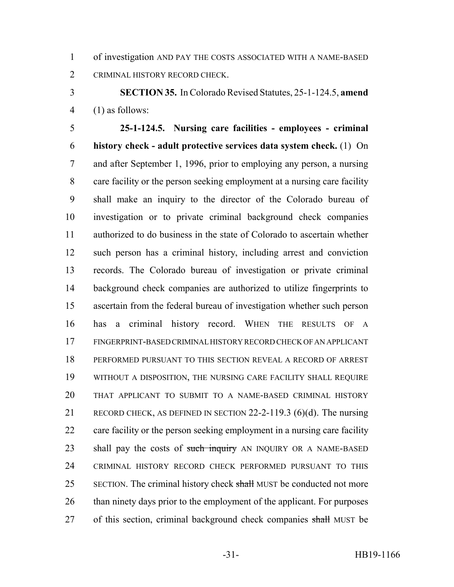of investigation AND PAY THE COSTS ASSOCIATED WITH A NAME-BASED CRIMINAL HISTORY RECORD CHECK.

 **SECTION 35.** In Colorado Revised Statutes, 25-1-124.5, **amend** (1) as follows:

 **25-1-124.5. Nursing care facilities - employees - criminal history check - adult protective services data system check.** (1) On and after September 1, 1996, prior to employing any person, a nursing care facility or the person seeking employment at a nursing care facility shall make an inquiry to the director of the Colorado bureau of investigation or to private criminal background check companies authorized to do business in the state of Colorado to ascertain whether such person has a criminal history, including arrest and conviction records. The Colorado bureau of investigation or private criminal background check companies are authorized to utilize fingerprints to ascertain from the federal bureau of investigation whether such person has a criminal history record. WHEN THE RESULTS OF A FINGERPRINT-BASED CRIMINAL HISTORY RECORD CHECK OF AN APPLICANT PERFORMED PURSUANT TO THIS SECTION REVEAL A RECORD OF ARREST WITHOUT A DISPOSITION, THE NURSING CARE FACILITY SHALL REQUIRE THAT APPLICANT TO SUBMIT TO A NAME-BASED CRIMINAL HISTORY RECORD CHECK, AS DEFINED IN SECTION 22-2-119.3 (6)(d). The nursing 22 care facility or the person seeking employment in a nursing care facility 23 shall pay the costs of such inquiry AN INQUIRY OR A NAME-BASED CRIMINAL HISTORY RECORD CHECK PERFORMED PURSUANT TO THIS 25 SECTION. The criminal history check shall MUST be conducted not more 26 than ninety days prior to the employment of the applicant. For purposes 27 of this section, criminal background check companies shall MUST be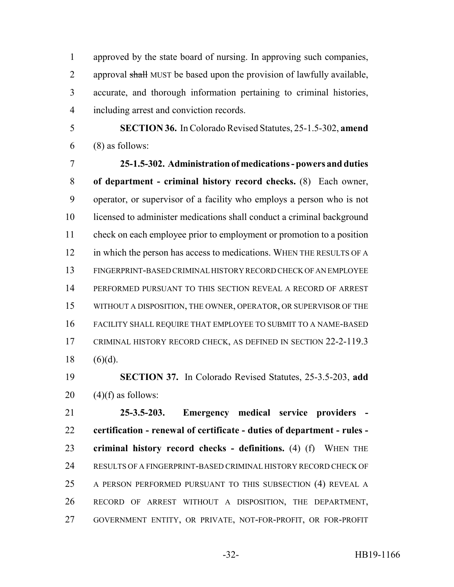approved by the state board of nursing. In approving such companies, 2 approval shall MUST be based upon the provision of lawfully available, accurate, and thorough information pertaining to criminal histories, including arrest and conviction records.

 **SECTION 36.** In Colorado Revised Statutes, 25-1.5-302, **amend**  $6 \qquad (8)$  as follows:

 **25-1.5-302. Administration of medications - powers and duties of department - criminal history record checks.** (8) Each owner, operator, or supervisor of a facility who employs a person who is not licensed to administer medications shall conduct a criminal background 11 check on each employee prior to employment or promotion to a position 12 in which the person has access to medications. WHEN THE RESULTS OF A FINGERPRINT-BASED CRIMINAL HISTORY RECORD CHECK OF AN EMPLOYEE PERFORMED PURSUANT TO THIS SECTION REVEAL A RECORD OF ARREST WITHOUT A DISPOSITION, THE OWNER, OPERATOR, OR SUPERVISOR OF THE FACILITY SHALL REQUIRE THAT EMPLOYEE TO SUBMIT TO A NAME-BASED CRIMINAL HISTORY RECORD CHECK, AS DEFINED IN SECTION 22-2-119.3 18  $(6)(d)$ .

 **SECTION 37.** In Colorado Revised Statutes, 25-3.5-203, **add** 20  $(4)(f)$  as follows:

 **25-3.5-203. Emergency medical service providers - certification - renewal of certificate - duties of department - rules - criminal history record checks - definitions.** (4) (f) WHEN THE RESULTS OF A FINGERPRINT-BASED CRIMINAL HISTORY RECORD CHECK OF A PERSON PERFORMED PURSUANT TO THIS SUBSECTION (4) REVEAL A RECORD OF ARREST WITHOUT A DISPOSITION, THE DEPARTMENT, GOVERNMENT ENTITY, OR PRIVATE, NOT-FOR-PROFIT, OR FOR-PROFIT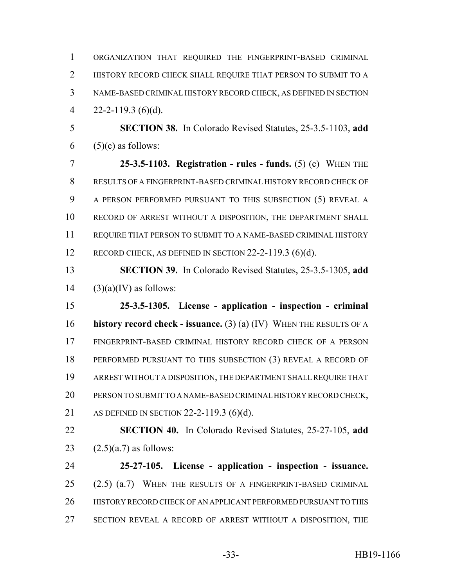| $\mathbf{1}$   | ORGANIZATION THAT REQUIRED THE FINGERPRINT-BASED CRIMINAL           |
|----------------|---------------------------------------------------------------------|
| $\overline{2}$ | HISTORY RECORD CHECK SHALL REQUIRE THAT PERSON TO SUBMIT TO A       |
| 3              | NAME-BASED CRIMINAL HISTORY RECORD CHECK, AS DEFINED IN SECTION     |
| $\overline{4}$ | $22 - 2 - 119.3$ (6)(d).                                            |
| 5              | <b>SECTION 38.</b> In Colorado Revised Statutes, 25-3.5-1103, add   |
| 6              | $(5)(c)$ as follows:                                                |
| $\overline{7}$ | 25-3.5-1103. Registration - rules - funds. $(5)$ (c) WHEN THE       |
| 8              | RESULTS OF A FINGERPRINT-BASED CRIMINAL HISTORY RECORD CHECK OF     |
| 9              | A PERSON PERFORMED PURSUANT TO THIS SUBSECTION (5) REVEAL A         |
| 10             | RECORD OF ARREST WITHOUT A DISPOSITION, THE DEPARTMENT SHALL        |
| 11             | REQUIRE THAT PERSON TO SUBMIT TO A NAME-BASED CRIMINAL HISTORY      |
| 12             | RECORD CHECK, AS DEFINED IN SECTION $22-2-119.3$ (6)(d).            |
| 13             | <b>SECTION 39.</b> In Colorado Revised Statutes, 25-3.5-1305, add   |
| 14             | $(3)(a)(IV)$ as follows:                                            |
| 15             | 25-3.5-1305. License - application - inspection - criminal          |
| 16             | history record check - issuance. (3) (a) (IV) WHEN THE RESULTS OF A |
| 17             | FINGERPRINT-BASED CRIMINAL HISTORY RECORD CHECK OF A PERSON         |
| 18             | PERFORMED PURSUANT TO THIS SUBSECTION (3) REVEAL A RECORD OF        |
| 19             | ARREST WITHOUT A DISPOSITION, THE DEPARTMENT SHALL REQUIRE THAT     |
| 20             | PERSON TO SUBMIT TO A NAME-BASED CRIMINAL HISTORY RECORD CHECK,     |
| 21             | AS DEFINED IN SECTION 22-2-119.3 (6)(d).                            |
| 22             | <b>SECTION 40.</b> In Colorado Revised Statutes, 25-27-105, add     |
|                |                                                                     |

23  $(2.5)(a.7)$  as follows:

 **25-27-105. License - application - inspection - issuance.** (2.5) (a.7) WHEN THE RESULTS OF A FINGERPRINT-BASED CRIMINAL HISTORY RECORD CHECK OF AN APPLICANT PERFORMED PURSUANT TO THIS SECTION REVEAL A RECORD OF ARREST WITHOUT A DISPOSITION, THE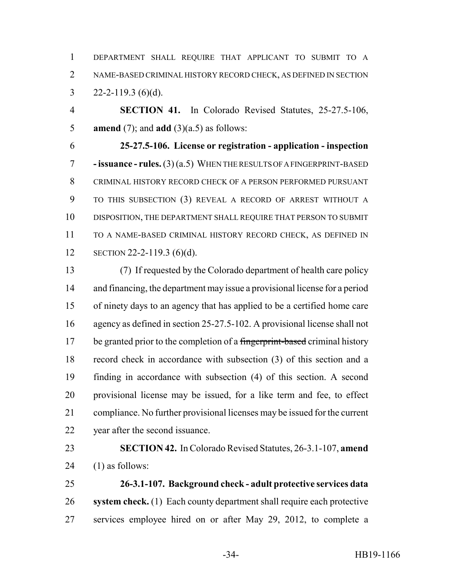DEPARTMENT SHALL REQUIRE THAT APPLICANT TO SUBMIT TO A NAME-BASED CRIMINAL HISTORY RECORD CHECK, AS DEFINED IN SECTION 3 22-2-119.3 (6)(d).

 **SECTION 41.** In Colorado Revised Statutes, 25-27.5-106, **amend** (7); and **add** (3)(a.5) as follows:

 **25-27.5-106. License or registration - application - inspection - issuance - rules.** (3) (a.5) WHEN THE RESULTS OF A FINGERPRINT-BASED CRIMINAL HISTORY RECORD CHECK OF A PERSON PERFORMED PURSUANT TO THIS SUBSECTION (3) REVEAL A RECORD OF ARREST WITHOUT A DISPOSITION, THE DEPARTMENT SHALL REQUIRE THAT PERSON TO SUBMIT TO A NAME-BASED CRIMINAL HISTORY RECORD CHECK, AS DEFINED IN SECTION 22-2-119.3 (6)(d).

 (7) If requested by the Colorado department of health care policy and financing, the department may issue a provisional license for a period of ninety days to an agency that has applied to be a certified home care agency as defined in section 25-27.5-102. A provisional license shall not 17 be granted prior to the completion of a fingerprint-based criminal history record check in accordance with subsection (3) of this section and a finding in accordance with subsection (4) of this section. A second provisional license may be issued, for a like term and fee, to effect compliance. No further provisional licenses may be issued for the current year after the second issuance.

 **SECTION 42.** In Colorado Revised Statutes, 26-3.1-107, **amend** 24  $(1)$  as follows:

 **26-3.1-107. Background check - adult protective services data system check.** (1) Each county department shall require each protective services employee hired on or after May 29, 2012, to complete a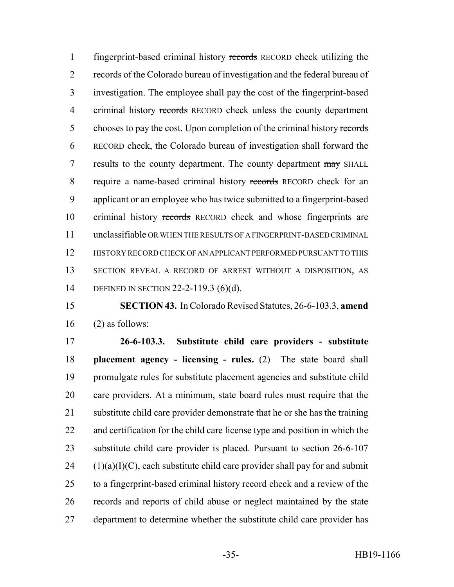fingerprint-based criminal history records RECORD check utilizing the records of the Colorado bureau of investigation and the federal bureau of investigation. The employee shall pay the cost of the fingerprint-based 4 criminal history records RECORD check unless the county department 5 chooses to pay the cost. Upon completion of the criminal history records RECORD check, the Colorado bureau of investigation shall forward the 7 results to the county department. The county department may SHALL require a name-based criminal history records RECORD check for an applicant or an employee who has twice submitted to a fingerprint-based 10 criminal history records RECORD check and whose fingerprints are unclassifiable OR WHEN THE RESULTS OF A FINGERPRINT-BASED CRIMINAL HISTORY RECORD CHECK OF AN APPLICANT PERFORMED PURSUANT TO THIS SECTION REVEAL A RECORD OF ARREST WITHOUT A DISPOSITION, AS DEFINED IN SECTION 22-2-119.3 (6)(d).

 **SECTION 43.** In Colorado Revised Statutes, 26-6-103.3, **amend** (2) as follows:

 **26-6-103.3. Substitute child care providers - substitute placement agency - licensing - rules.** (2) The state board shall promulgate rules for substitute placement agencies and substitute child care providers. At a minimum, state board rules must require that the substitute child care provider demonstrate that he or she has the training and certification for the child care license type and position in which the substitute child care provider is placed. Pursuant to section 26-6-107 (1)(a)(I)(C), each substitute child care provider shall pay for and submit to a fingerprint-based criminal history record check and a review of the records and reports of child abuse or neglect maintained by the state department to determine whether the substitute child care provider has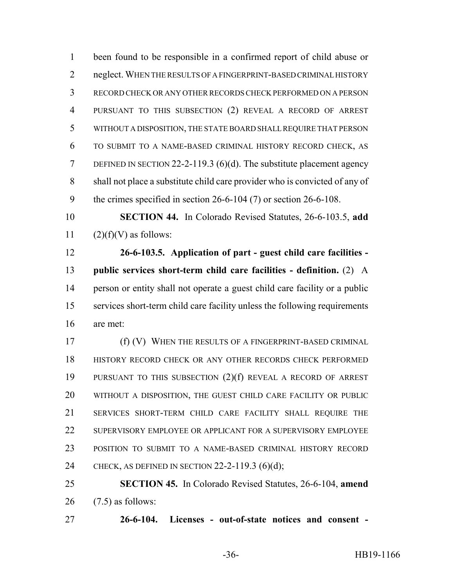been found to be responsible in a confirmed report of child abuse or neglect. WHEN THE RESULTS OF A FINGERPRINT-BASED CRIMINAL HISTORY RECORD CHECK OR ANY OTHER RECORDS CHECK PERFORMED ON A PERSON PURSUANT TO THIS SUBSECTION (2) REVEAL A RECORD OF ARREST WITHOUT A DISPOSITION, THE STATE BOARD SHALL REQUIRE THAT PERSON TO SUBMIT TO A NAME-BASED CRIMINAL HISTORY RECORD CHECK, AS DEFINED IN SECTION 22-2-119.3 (6)(d). The substitute placement agency shall not place a substitute child care provider who is convicted of any of the crimes specified in section 26-6-104 (7) or section 26-6-108. **SECTION 44.** In Colorado Revised Statutes, 26-6-103.5, **add**  $(2)(f)(V)$  as follows: **26-6-103.5. Application of part - guest child care facilities - public services short-term child care facilities - definition.** (2) A person or entity shall not operate a guest child care facility or a public services short-term child care facility unless the following requirements are met: **(f) (V) WHEN THE RESULTS OF A FINGERPRINT-BASED CRIMINAL**  HISTORY RECORD CHECK OR ANY OTHER RECORDS CHECK PERFORMED PURSUANT TO THIS SUBSECTION (2)(f) REVEAL A RECORD OF ARREST WITHOUT A DISPOSITION, THE GUEST CHILD CARE FACILITY OR PUBLIC SERVICES SHORT-TERM CHILD CARE FACILITY SHALL REQUIRE THE SUPERVISORY EMPLOYEE OR APPLICANT FOR A SUPERVISORY EMPLOYEE POSITION TO SUBMIT TO A NAME-BASED CRIMINAL HISTORY RECORD CHECK, AS DEFINED IN SECTION 22-2-119.3 (6)(d); **SECTION 45.** In Colorado Revised Statutes, 26-6-104, **amend** (7.5) as follows:

**26-6-104. Licenses - out-of-state notices and consent -**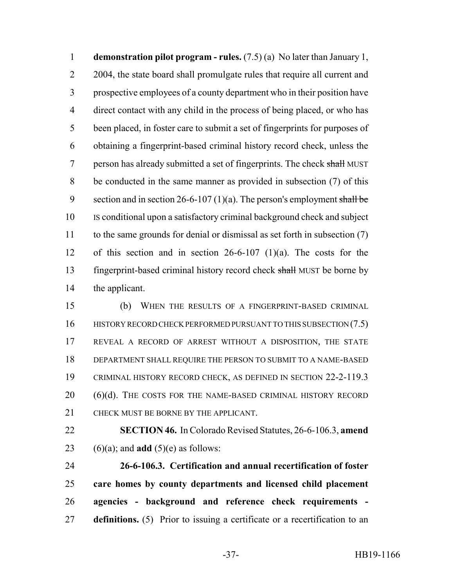**demonstration pilot program - rules.** (7.5) (a) No later than January 1, 2 2004, the state board shall promulgate rules that require all current and prospective employees of a county department who in their position have direct contact with any child in the process of being placed, or who has been placed, in foster care to submit a set of fingerprints for purposes of obtaining a fingerprint-based criminal history record check, unless the 7 person has already submitted a set of fingerprints. The check shall MUST be conducted in the same manner as provided in subsection (7) of this 9 section and in section 26-6-107 (1)(a). The person's employment shall be IS conditional upon a satisfactory criminal background check and subject to the same grounds for denial or dismissal as set forth in subsection (7) of this section and in section 26-6-107 (1)(a). The costs for the 13 fingerprint-based criminal history record check shall MUST be borne by the applicant.

 (b) WHEN THE RESULTS OF A FINGERPRINT-BASED CRIMINAL 16 HISTORY RECORD CHECK PERFORMED PURSUANT TO THIS SUBSECTION (7.5) REVEAL A RECORD OF ARREST WITHOUT A DISPOSITION, THE STATE DEPARTMENT SHALL REQUIRE THE PERSON TO SUBMIT TO A NAME-BASED CRIMINAL HISTORY RECORD CHECK, AS DEFINED IN SECTION 22-2-119.3 20 (6)(d). THE COSTS FOR THE NAME-BASED CRIMINAL HISTORY RECORD CHECK MUST BE BORNE BY THE APPLICANT.

 **SECTION 46.** In Colorado Revised Statutes, 26-6-106.3, **amend** 23 (6)(a); and **add** (5)(e) as follows:

 **26-6-106.3. Certification and annual recertification of foster care homes by county departments and licensed child placement agencies - background and reference check requirements - definitions.** (5) Prior to issuing a certificate or a recertification to an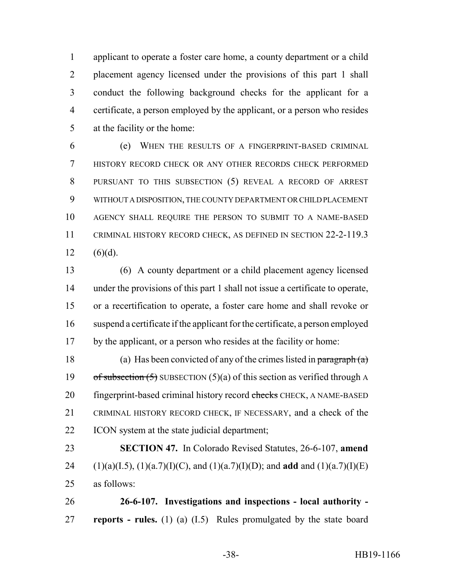applicant to operate a foster care home, a county department or a child placement agency licensed under the provisions of this part 1 shall conduct the following background checks for the applicant for a certificate, a person employed by the applicant, or a person who resides at the facility or the home:

 (e) WHEN THE RESULTS OF A FINGERPRINT-BASED CRIMINAL HISTORY RECORD CHECK OR ANY OTHER RECORDS CHECK PERFORMED PURSUANT TO THIS SUBSECTION (5) REVEAL A RECORD OF ARREST WITHOUT A DISPOSITION, THE COUNTY DEPARTMENT OR CHILD PLACEMENT AGENCY SHALL REQUIRE THE PERSON TO SUBMIT TO A NAME-BASED CRIMINAL HISTORY RECORD CHECK, AS DEFINED IN SECTION 22-2-119.3 12 (6)(d).

 (6) A county department or a child placement agency licensed under the provisions of this part 1 shall not issue a certificate to operate, or a recertification to operate, a foster care home and shall revoke or suspend a certificate if the applicant for the certificate, a person employed by the applicant, or a person who resides at the facility or home:

18 (a) Has been convicted of any of the crimes listed in paragraph  $(a)$ 19 of subsection  $(5)$  SUBSECTION  $(5)(a)$  of this section as verified through A 20 fingerprint-based criminal history record checks CHECK, A NAME-BASED CRIMINAL HISTORY RECORD CHECK, IF NECESSARY, and a check of the ICON system at the state judicial department;

 **SECTION 47.** In Colorado Revised Statutes, 26-6-107, **amend** 24 (1)(a)(I.5), (1)(a.7)(I)(C), and (1)(a.7)(I)(D); and **add** and (1)(a.7)(I)(E) as follows:

 **26-6-107. Investigations and inspections - local authority - reports - rules.** (1) (a) (I.5) Rules promulgated by the state board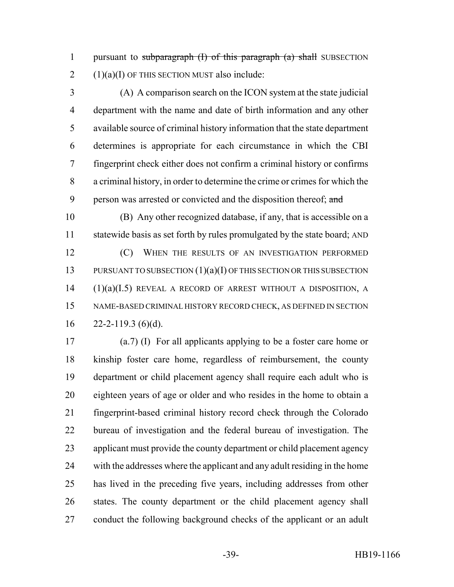1 pursuant to subparagraph (I) of this paragraph (a) shall SUBSECTION  $2 \quad (1)(a)(I)$  OF THIS SECTION MUST also include:

 (A) A comparison search on the ICON system at the state judicial department with the name and date of birth information and any other available source of criminal history information that the state department determines is appropriate for each circumstance in which the CBI fingerprint check either does not confirm a criminal history or confirms a criminal history, in order to determine the crime or crimes for which the 9 person was arrested or convicted and the disposition thereof; and

 (B) Any other recognized database, if any, that is accessible on a 11 statewide basis as set forth by rules promulgated by the state board; AND **(C)** WHEN THE RESULTS OF AN INVESTIGATION PERFORMED 13 PURSUANT TO SUBSECTION (1)(a)(I) OF THIS SECTION OR THIS SUBSECTION (1)(a)(I.5) REVEAL A RECORD OF ARREST WITHOUT A DISPOSITION, A NAME-BASED CRIMINAL HISTORY RECORD CHECK, AS DEFINED IN SECTION  $16 \qquad 22 - 2 - 119.3 \text{ (6)}$ 

 (a.7) (I) For all applicants applying to be a foster care home or kinship foster care home, regardless of reimbursement, the county department or child placement agency shall require each adult who is eighteen years of age or older and who resides in the home to obtain a fingerprint-based criminal history record check through the Colorado bureau of investigation and the federal bureau of investigation. The applicant must provide the county department or child placement agency with the addresses where the applicant and any adult residing in the home has lived in the preceding five years, including addresses from other states. The county department or the child placement agency shall conduct the following background checks of the applicant or an adult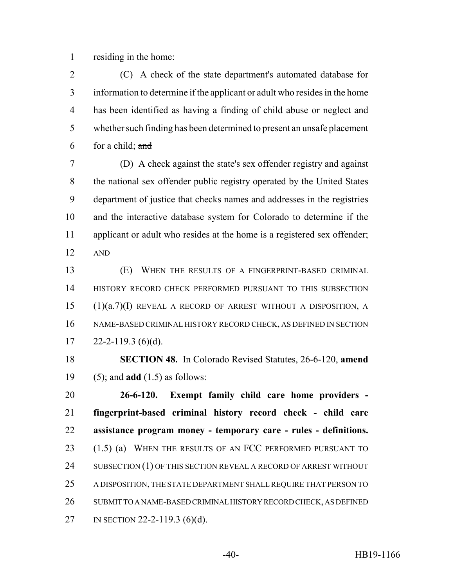residing in the home:

 (C) A check of the state department's automated database for information to determine if the applicant or adult who resides in the home has been identified as having a finding of child abuse or neglect and whether such finding has been determined to present an unsafe placement 6 for a child;  $\frac{and}{}$ 

 (D) A check against the state's sex offender registry and against the national sex offender public registry operated by the United States department of justice that checks names and addresses in the registries and the interactive database system for Colorado to determine if the applicant or adult who resides at the home is a registered sex offender; AND

 (E) WHEN THE RESULTS OF A FINGERPRINT-BASED CRIMINAL HISTORY RECORD CHECK PERFORMED PURSUANT TO THIS SUBSECTION (1)(a.7)(I) REVEAL A RECORD OF ARREST WITHOUT A DISPOSITION, A NAME-BASED CRIMINAL HISTORY RECORD CHECK, AS DEFINED IN SECTION  $17 \qquad 22 - 2 - 119.3$  (6)(d).

 **SECTION 48.** In Colorado Revised Statutes, 26-6-120, **amend** (5); and **add** (1.5) as follows:

 **26-6-120. Exempt family child care home providers - fingerprint-based criminal history record check - child care assistance program money - temporary care - rules - definitions.** 23 (1.5) (a) WHEN THE RESULTS OF AN FCC PERFORMED PURSUANT TO 24 SUBSECTION (1) OF THIS SECTION REVEAL A RECORD OF ARREST WITHOUT A DISPOSITION, THE STATE DEPARTMENT SHALL REQUIRE THAT PERSON TO SUBMIT TO A NAME-BASED CRIMINAL HISTORY RECORD CHECK, AS DEFINED IN SECTION 22-2-119.3 (6)(d).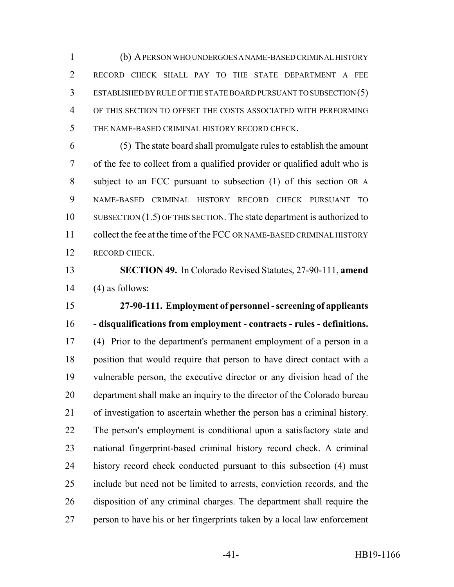(b) A PERSON WHO UNDERGOES A NAME-BASED CRIMINAL HISTORY RECORD CHECK SHALL PAY TO THE STATE DEPARTMENT A FEE ESTABLISHED BY RULE OF THE STATE BOARD PURSUANT TO SUBSECTION (5) OF THIS SECTION TO OFFSET THE COSTS ASSOCIATED WITH PERFORMING THE NAME-BASED CRIMINAL HISTORY RECORD CHECK.

 (5) The state board shall promulgate rules to establish the amount of the fee to collect from a qualified provider or qualified adult who is subject to an FCC pursuant to subsection (1) of this section OR A NAME-BASED CRIMINAL HISTORY RECORD CHECK PURSUANT TO SUBSECTION (1.5) OF THIS SECTION. The state department is authorized to collect the fee at the time of the FCC OR NAME-BASED CRIMINAL HISTORY RECORD CHECK.

 **SECTION 49.** In Colorado Revised Statutes, 27-90-111, **amend** 14  $(4)$  as follows:

 **27-90-111. Employment of personnel - screening of applicants - disqualifications from employment - contracts - rules - definitions.** (4) Prior to the department's permanent employment of a person in a position that would require that person to have direct contact with a vulnerable person, the executive director or any division head of the department shall make an inquiry to the director of the Colorado bureau of investigation to ascertain whether the person has a criminal history. The person's employment is conditional upon a satisfactory state and national fingerprint-based criminal history record check. A criminal history record check conducted pursuant to this subsection (4) must include but need not be limited to arrests, conviction records, and the disposition of any criminal charges. The department shall require the person to have his or her fingerprints taken by a local law enforcement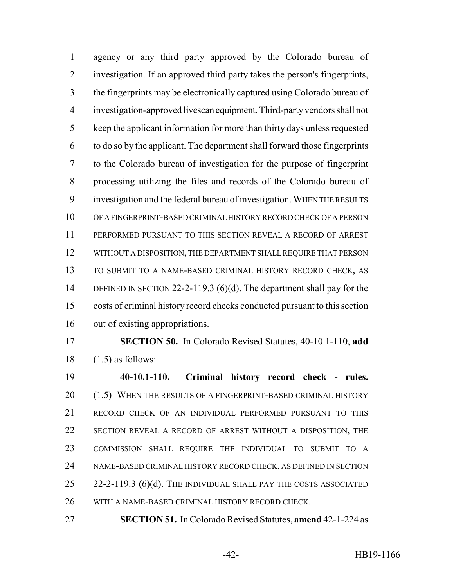agency or any third party approved by the Colorado bureau of investigation. If an approved third party takes the person's fingerprints, the fingerprints may be electronically captured using Colorado bureau of investigation-approved livescan equipment. Third-party vendors shall not keep the applicant information for more than thirty days unless requested to do so by the applicant. The department shall forward those fingerprints to the Colorado bureau of investigation for the purpose of fingerprint processing utilizing the files and records of the Colorado bureau of investigation and the federal bureau of investigation. WHEN THE RESULTS OF A FINGERPRINT-BASED CRIMINAL HISTORY RECORD CHECK OF A PERSON PERFORMED PURSUANT TO THIS SECTION REVEAL A RECORD OF ARREST WITHOUT A DISPOSITION, THE DEPARTMENT SHALL REQUIRE THAT PERSON TO SUBMIT TO A NAME-BASED CRIMINAL HISTORY RECORD CHECK, AS DEFINED IN SECTION 22-2-119.3 (6)(d). The department shall pay for the costs of criminal history record checks conducted pursuant to this section out of existing appropriations.

 **SECTION 50.** In Colorado Revised Statutes, 40-10.1-110, **add**  $18 \quad (1.5)$  as follows:

 **40-10.1-110. Criminal history record check - rules.** 20 (1.5) WHEN THE RESULTS OF A FINGERPRINT-BASED CRIMINAL HISTORY RECORD CHECK OF AN INDIVIDUAL PERFORMED PURSUANT TO THIS SECTION REVEAL A RECORD OF ARREST WITHOUT A DISPOSITION, THE COMMISSION SHALL REQUIRE THE INDIVIDUAL TO SUBMIT TO A NAME-BASED CRIMINAL HISTORY RECORD CHECK, AS DEFINED IN SECTION 25 22-2-119.3 (6)(d). The INDIVIDUAL SHALL PAY THE COSTS ASSOCIATED WITH A NAME-BASED CRIMINAL HISTORY RECORD CHECK.

**SECTION 51.** In Colorado Revised Statutes, **amend** 42-1-224 as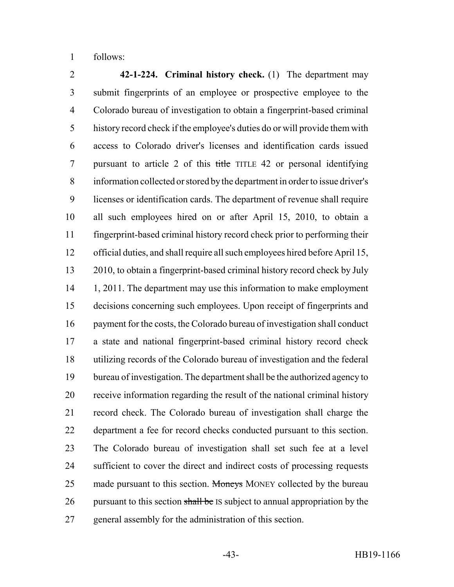follows:

 **42-1-224. Criminal history check.** (1) The department may submit fingerprints of an employee or prospective employee to the Colorado bureau of investigation to obtain a fingerprint-based criminal history record check if the employee's duties do or will provide them with access to Colorado driver's licenses and identification cards issued pursuant to article 2 of this title TITLE 42 or personal identifying information collected or stored by the department in order to issue driver's licenses or identification cards. The department of revenue shall require all such employees hired on or after April 15, 2010, to obtain a fingerprint-based criminal history record check prior to performing their official duties, and shall require all such employees hired before April 15, 2010, to obtain a fingerprint-based criminal history record check by July 14 1, 2011. The department may use this information to make employment decisions concerning such employees. Upon receipt of fingerprints and payment for the costs, the Colorado bureau of investigation shall conduct a state and national fingerprint-based criminal history record check utilizing records of the Colorado bureau of investigation and the federal bureau of investigation. The department shall be the authorized agency to receive information regarding the result of the national criminal history record check. The Colorado bureau of investigation shall charge the department a fee for record checks conducted pursuant to this section. The Colorado bureau of investigation shall set such fee at a level sufficient to cover the direct and indirect costs of processing requests 25 made pursuant to this section. Moneys MONEY collected by the bureau 26 pursuant to this section shall be IS subject to annual appropriation by the general assembly for the administration of this section.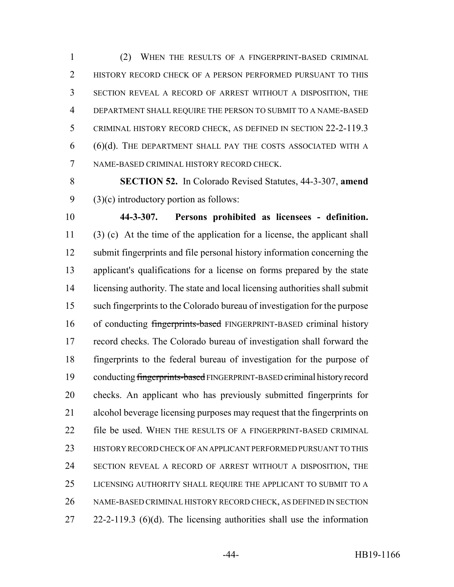(2) WHEN THE RESULTS OF A FINGERPRINT-BASED CRIMINAL HISTORY RECORD CHECK OF A PERSON PERFORMED PURSUANT TO THIS SECTION REVEAL A RECORD OF ARREST WITHOUT A DISPOSITION, THE DEPARTMENT SHALL REQUIRE THE PERSON TO SUBMIT TO A NAME-BASED CRIMINAL HISTORY RECORD CHECK, AS DEFINED IN SECTION 22-2-119.3 (6)(d). THE DEPARTMENT SHALL PAY THE COSTS ASSOCIATED WITH A NAME-BASED CRIMINAL HISTORY RECORD CHECK.

 **SECTION 52.** In Colorado Revised Statutes, 44-3-307, **amend** (3)(c) introductory portion as follows:

 **44-3-307. Persons prohibited as licensees - definition.** (3) (c) At the time of the application for a license, the applicant shall submit fingerprints and file personal history information concerning the applicant's qualifications for a license on forms prepared by the state licensing authority. The state and local licensing authorities shall submit such fingerprints to the Colorado bureau of investigation for the purpose 16 of conducting fingerprints-based FINGERPRINT-BASED criminal history record checks. The Colorado bureau of investigation shall forward the fingerprints to the federal bureau of investigation for the purpose of conducting fingerprints-based FINGERPRINT-BASED criminal history record checks. An applicant who has previously submitted fingerprints for alcohol beverage licensing purposes may request that the fingerprints on file be used. WHEN THE RESULTS OF A FINGERPRINT-BASED CRIMINAL HISTORY RECORD CHECK OF AN APPLICANT PERFORMED PURSUANT TO THIS SECTION REVEAL A RECORD OF ARREST WITHOUT A DISPOSITION, THE LICENSING AUTHORITY SHALL REQUIRE THE APPLICANT TO SUBMIT TO A NAME-BASED CRIMINAL HISTORY RECORD CHECK, AS DEFINED IN SECTION 22-2-119.3 (6)(d). The licensing authorities shall use the information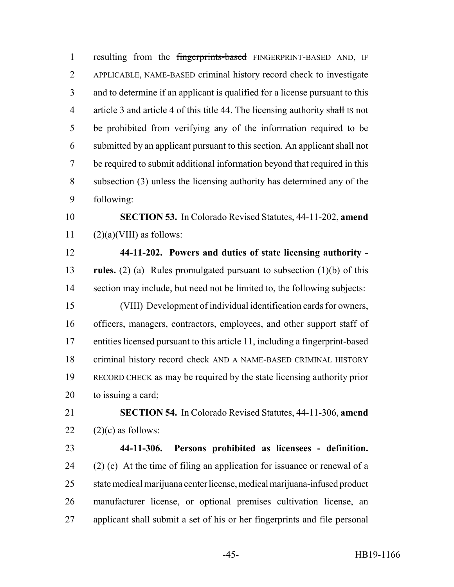resulting from the fingerprints-based FINGERPRINT-BASED AND, IF APPLICABLE, NAME-BASED criminal history record check to investigate and to determine if an applicant is qualified for a license pursuant to this 4 article 3 and article 4 of this title 44. The licensing authority shall IS not 5 be prohibited from verifying any of the information required to be submitted by an applicant pursuant to this section. An applicant shall not be required to submit additional information beyond that required in this subsection (3) unless the licensing authority has determined any of the following:

 **SECTION 53.** In Colorado Revised Statutes, 44-11-202, **amend** 11  $(2)(a)(VIII)$  as follows:

 **44-11-202. Powers and duties of state licensing authority - rules.** (2) (a) Rules promulgated pursuant to subsection (1)(b) of this section may include, but need not be limited to, the following subjects: (VIII) Development of individual identification cards for owners, officers, managers, contractors, employees, and other support staff of entities licensed pursuant to this article 11, including a fingerprint-based criminal history record check AND A NAME-BASED CRIMINAL HISTORY RECORD CHECK as may be required by the state licensing authority prior to issuing a card;

 **SECTION 54.** In Colorado Revised Statutes, 44-11-306, **amend** 22  $(2)(c)$  as follows:

 **44-11-306. Persons prohibited as licensees - definition.** 24 (2) (c) At the time of filing an application for issuance or renewal of a state medical marijuana center license, medical marijuana-infused product manufacturer license, or optional premises cultivation license, an applicant shall submit a set of his or her fingerprints and file personal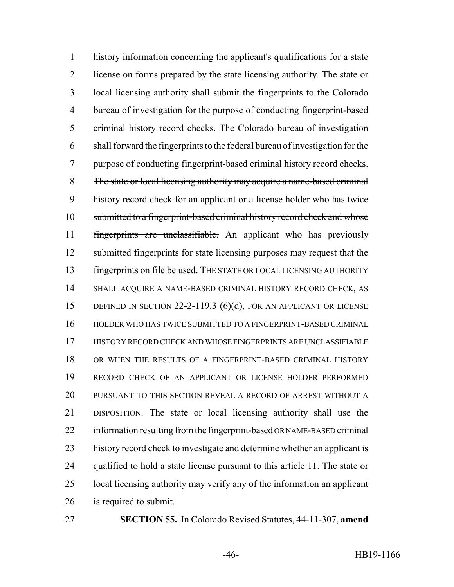history information concerning the applicant's qualifications for a state license on forms prepared by the state licensing authority. The state or local licensing authority shall submit the fingerprints to the Colorado bureau of investigation for the purpose of conducting fingerprint-based criminal history record checks. The Colorado bureau of investigation shall forward the fingerprints to the federal bureau of investigation for the purpose of conducting fingerprint-based criminal history record checks. The state or local licensing authority may acquire a name-based criminal history record check for an applicant or a license holder who has twice 10 submitted to a fingerprint-based criminal history record check and whose 11 fingerprints are unclassifiable. An applicant who has previously 12 submitted fingerprints for state licensing purposes may request that the fingerprints on file be used. THE STATE OR LOCAL LICENSING AUTHORITY SHALL ACQUIRE A NAME-BASED CRIMINAL HISTORY RECORD CHECK, AS 15 DEFINED IN SECTION 22-2-119.3 (6)(d), FOR AN APPLICANT OR LICENSE HOLDER WHO HAS TWICE SUBMITTED TO A FINGERPRINT-BASED CRIMINAL HISTORY RECORD CHECK AND WHOSE FINGERPRINTS ARE UNCLASSIFIABLE OR WHEN THE RESULTS OF A FINGERPRINT-BASED CRIMINAL HISTORY RECORD CHECK OF AN APPLICANT OR LICENSE HOLDER PERFORMED PURSUANT TO THIS SECTION REVEAL A RECORD OF ARREST WITHOUT A DISPOSITION. The state or local licensing authority shall use the information resulting from the fingerprint-based OR NAME-BASED criminal history record check to investigate and determine whether an applicant is qualified to hold a state license pursuant to this article 11. The state or local licensing authority may verify any of the information an applicant is required to submit.

**SECTION 55.** In Colorado Revised Statutes, 44-11-307, **amend**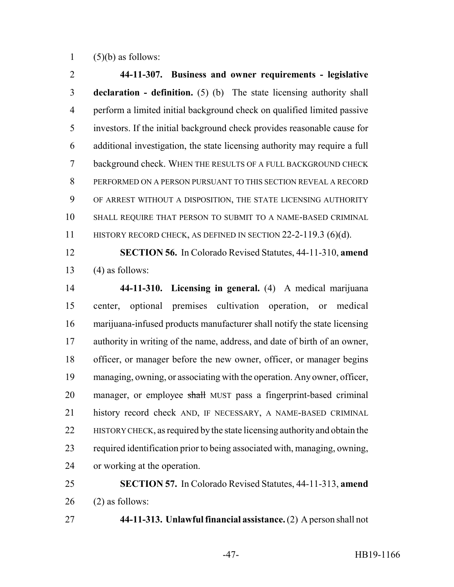1  $(5)(b)$  as follows:

 **44-11-307. Business and owner requirements - legislative declaration - definition.** (5) (b) The state licensing authority shall perform a limited initial background check on qualified limited passive investors. If the initial background check provides reasonable cause for additional investigation, the state licensing authority may require a full background check. WHEN THE RESULTS OF A FULL BACKGROUND CHECK PERFORMED ON A PERSON PURSUANT TO THIS SECTION REVEAL A RECORD OF ARREST WITHOUT A DISPOSITION, THE STATE LICENSING AUTHORITY SHALL REQUIRE THAT PERSON TO SUBMIT TO A NAME-BASED CRIMINAL 11 HISTORY RECORD CHECK, AS DEFINED IN SECTION 22-2-119.3 (6)(d).

 **SECTION 56.** In Colorado Revised Statutes, 44-11-310, **amend** 13  $(4)$  as follows:

 **44-11-310. Licensing in general.** (4) A medical marijuana center, optional premises cultivation operation, or medical marijuana-infused products manufacturer shall notify the state licensing authority in writing of the name, address, and date of birth of an owner, officer, or manager before the new owner, officer, or manager begins managing, owning, or associating with the operation. Any owner, officer, 20 manager, or employee shall MUST pass a fingerprint-based criminal history record check AND, IF NECESSARY, A NAME-BASED CRIMINAL HISTORY CHECK, as required by the state licensing authority and obtain the required identification prior to being associated with, managing, owning, or working at the operation.

 **SECTION 57.** In Colorado Revised Statutes, 44-11-313, **amend** (2) as follows:

**44-11-313. Unlawful financial assistance.** (2) A person shall not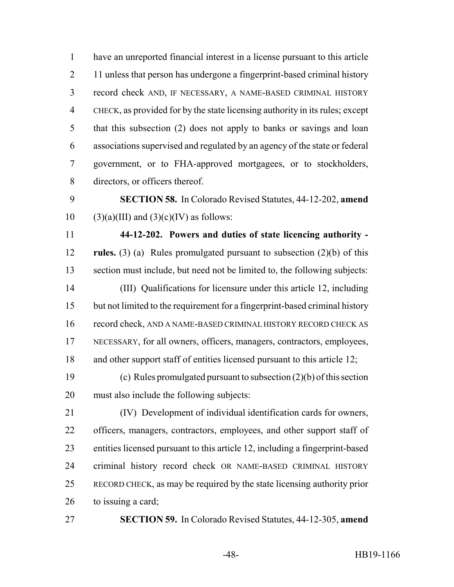have an unreported financial interest in a license pursuant to this article 2 11 unless that person has undergone a fingerprint-based criminal history record check AND, IF NECESSARY, A NAME-BASED CRIMINAL HISTORY CHECK, as provided for by the state licensing authority in its rules; except that this subsection (2) does not apply to banks or savings and loan associations supervised and regulated by an agency of the state or federal government, or to FHA-approved mortgagees, or to stockholders, directors, or officers thereof.

 **SECTION 58.** In Colorado Revised Statutes, 44-12-202, **amend** 10 (3)(a)(III) and  $(3)(c)(IV)$  as follows:

 **44-12-202. Powers and duties of state licencing authority - rules.** (3) (a) Rules promulgated pursuant to subsection (2)(b) of this section must include, but need not be limited to, the following subjects: (III) Qualifications for licensure under this article 12, including but not limited to the requirement for a fingerprint-based criminal history record check, AND A NAME-BASED CRIMINAL HISTORY RECORD CHECK AS NECESSARY, for all owners, officers, managers, contractors, employees, 18 and other support staff of entities licensed pursuant to this article 12;

 (c) Rules promulgated pursuant to subsection (2)(b) of this section must also include the following subjects:

 (IV) Development of individual identification cards for owners, officers, managers, contractors, employees, and other support staff of entities licensed pursuant to this article 12, including a fingerprint-based criminal history record check OR NAME-BASED CRIMINAL HISTORY RECORD CHECK, as may be required by the state licensing authority prior to issuing a card;

**SECTION 59.** In Colorado Revised Statutes, 44-12-305, **amend**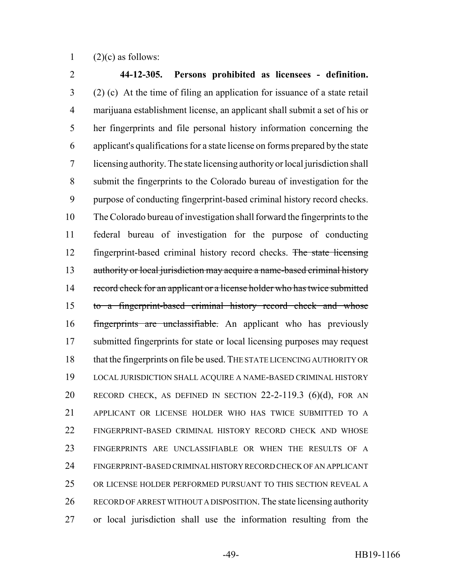1  $(2)(c)$  as follows:

 **44-12-305. Persons prohibited as licensees - definition.** (2) (c) At the time of filing an application for issuance of a state retail marijuana establishment license, an applicant shall submit a set of his or her fingerprints and file personal history information concerning the applicant's qualifications for a state license on forms prepared by the state licensing authority. The state licensing authority or local jurisdiction shall submit the fingerprints to the Colorado bureau of investigation for the purpose of conducting fingerprint-based criminal history record checks. The Colorado bureau of investigation shall forward the fingerprints to the federal bureau of investigation for the purpose of conducting fingerprint-based criminal history record checks. The state licensing 13 authority or local jurisdiction may acquire a name-based criminal history 14 record check for an applicant or a license holder who has twice submitted to a fingerprint-based criminal history record check and whose fingerprints are unclassifiable. An applicant who has previously submitted fingerprints for state or local licensing purposes may request that the fingerprints on file be used. THE STATE LICENCING AUTHORITY OR LOCAL JURISDICTION SHALL ACQUIRE A NAME-BASED CRIMINAL HISTORY RECORD CHECK, AS DEFINED IN SECTION 22-2-119.3 (6)(d), FOR AN APPLICANT OR LICENSE HOLDER WHO HAS TWICE SUBMITTED TO A FINGERPRINT-BASED CRIMINAL HISTORY RECORD CHECK AND WHOSE FINGERPRINTS ARE UNCLASSIFIABLE OR WHEN THE RESULTS OF A FINGERPRINT-BASED CRIMINAL HISTORY RECORD CHECK OF AN APPLICANT OR LICENSE HOLDER PERFORMED PURSUANT TO THIS SECTION REVEAL A RECORD OF ARREST WITHOUT A DISPOSITION. The state licensing authority or local jurisdiction shall use the information resulting from the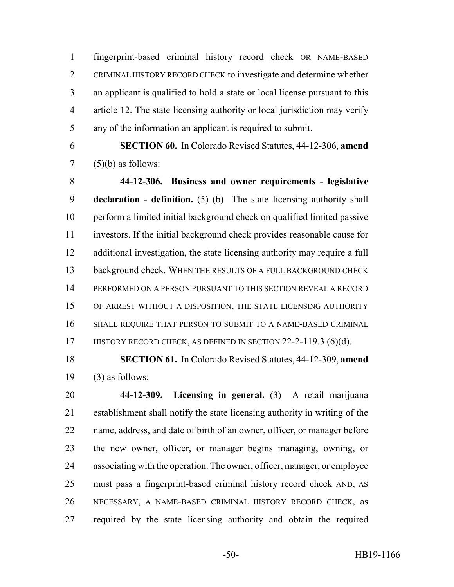fingerprint-based criminal history record check OR NAME-BASED CRIMINAL HISTORY RECORD CHECK to investigate and determine whether an applicant is qualified to hold a state or local license pursuant to this article 12. The state licensing authority or local jurisdiction may verify any of the information an applicant is required to submit.

 **SECTION 60.** In Colorado Revised Statutes, 44-12-306, **amend** (5)(b) as follows:

 **44-12-306. Business and owner requirements - legislative declaration - definition.** (5) (b) The state licensing authority shall perform a limited initial background check on qualified limited passive investors. If the initial background check provides reasonable cause for additional investigation, the state licensing authority may require a full 13 background check. WHEN THE RESULTS OF A FULL BACKGROUND CHECK PERFORMED ON A PERSON PURSUANT TO THIS SECTION REVEAL A RECORD OF ARREST WITHOUT A DISPOSITION, THE STATE LICENSING AUTHORITY SHALL REQUIRE THAT PERSON TO SUBMIT TO A NAME-BASED CRIMINAL 17 HISTORY RECORD CHECK, AS DEFINED IN SECTION 22-2-119.3 (6)(d).

 **SECTION 61.** In Colorado Revised Statutes, 44-12-309, **amend** 19  $(3)$  as follows:

 **44-12-309. Licensing in general.** (3) A retail marijuana establishment shall notify the state licensing authority in writing of the name, address, and date of birth of an owner, officer, or manager before the new owner, officer, or manager begins managing, owning, or associating with the operation. The owner, officer, manager, or employee must pass a fingerprint-based criminal history record check AND, AS NECESSARY, A NAME-BASED CRIMINAL HISTORY RECORD CHECK, as required by the state licensing authority and obtain the required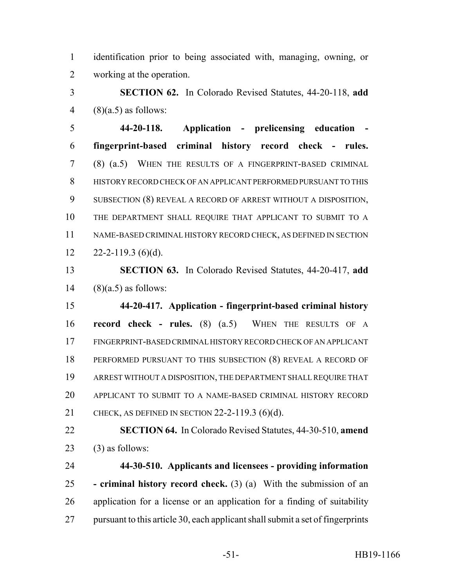identification prior to being associated with, managing, owning, or working at the operation.

 **SECTION 62.** In Colorado Revised Statutes, 44-20-118, **add** 4  $(8)(a.5)$  as follows:

 **44-20-118. Application - prelicensing education - fingerprint-based criminal history record check - rules.** (8) (a.5) WHEN THE RESULTS OF A FINGERPRINT-BASED CRIMINAL HISTORY RECORD CHECK OF AN APPLICANT PERFORMED PURSUANT TO THIS SUBSECTION (8) REVEAL A RECORD OF ARREST WITHOUT A DISPOSITION, THE DEPARTMENT SHALL REQUIRE THAT APPLICANT TO SUBMIT TO A NAME-BASED CRIMINAL HISTORY RECORD CHECK, AS DEFINED IN SECTION  $12 \qquad 22 - 2 - 119.3$  (6)(d).

 **SECTION 63.** In Colorado Revised Statutes, 44-20-417, **add** (8)(a.5) as follows:

 **44-20-417. Application - fingerprint-based criminal history record check - rules.** (8) (a.5) WHEN THE RESULTS OF A FINGERPRINT-BASED CRIMINAL HISTORY RECORD CHECK OF AN APPLICANT PERFORMED PURSUANT TO THIS SUBSECTION (8) REVEAL A RECORD OF ARREST WITHOUT A DISPOSITION, THE DEPARTMENT SHALL REQUIRE THAT APPLICANT TO SUBMIT TO A NAME-BASED CRIMINAL HISTORY RECORD CHECK, AS DEFINED IN SECTION 22-2-119.3 (6)(d).

 **SECTION 64.** In Colorado Revised Statutes, 44-30-510, **amend** (3) as follows:

 **44-30-510. Applicants and licensees - providing information - criminal history record check.** (3) (a) With the submission of an application for a license or an application for a finding of suitability pursuant to this article 30, each applicant shall submit a set of fingerprints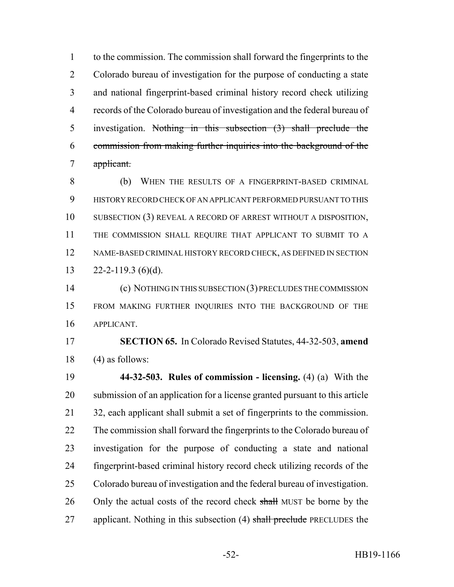to the commission. The commission shall forward the fingerprints to the Colorado bureau of investigation for the purpose of conducting a state and national fingerprint-based criminal history record check utilizing records of the Colorado bureau of investigation and the federal bureau of investigation. Nothing in this subsection (3) shall preclude the commission from making further inquiries into the background of the applicant.

 (b) WHEN THE RESULTS OF A FINGERPRINT-BASED CRIMINAL HISTORY RECORD CHECK OF AN APPLICANT PERFORMED PURSUANT TO THIS SUBSECTION (3) REVEAL A RECORD OF ARREST WITHOUT A DISPOSITION, THE COMMISSION SHALL REQUIRE THAT APPLICANT TO SUBMIT TO A NAME-BASED CRIMINAL HISTORY RECORD CHECK, AS DEFINED IN SECTION  $22 - 2 - 119.3$  (6)(d).

 (c) NOTHING IN THIS SUBSECTION (3) PRECLUDES THE COMMISSION FROM MAKING FURTHER INQUIRIES INTO THE BACKGROUND OF THE APPLICANT.

 **SECTION 65.** In Colorado Revised Statutes, 44-32-503, **amend** (4) as follows:

 **44-32-503. Rules of commission - licensing.** (4) (a) With the submission of an application for a license granted pursuant to this article 32, each applicant shall submit a set of fingerprints to the commission. The commission shall forward the fingerprints to the Colorado bureau of investigation for the purpose of conducting a state and national fingerprint-based criminal history record check utilizing records of the Colorado bureau of investigation and the federal bureau of investigation. 26 Only the actual costs of the record check shall MUST be borne by the 27 applicant. Nothing in this subsection (4) shall preclude PRECLUDES the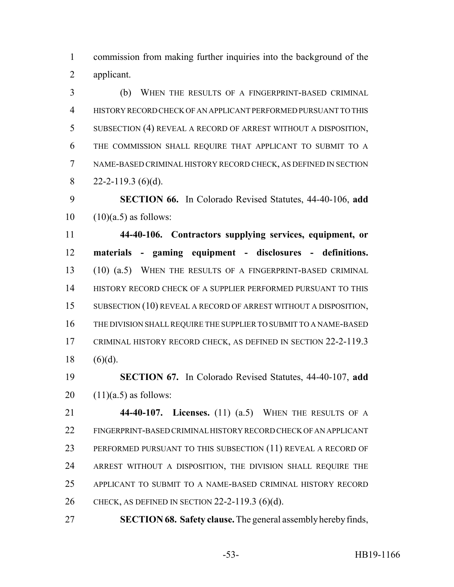commission from making further inquiries into the background of the applicant.

 (b) WHEN THE RESULTS OF A FINGERPRINT-BASED CRIMINAL HISTORY RECORD CHECK OF AN APPLICANT PERFORMED PURSUANT TO THIS SUBSECTION (4) REVEAL A RECORD OF ARREST WITHOUT A DISPOSITION, THE COMMISSION SHALL REQUIRE THAT APPLICANT TO SUBMIT TO A NAME-BASED CRIMINAL HISTORY RECORD CHECK, AS DEFINED IN SECTION  $22 - 2 - 119.3$  (6)(d).

 **SECTION 66.** In Colorado Revised Statutes, 44-40-106, **add**  $10 \quad (10)(a.5)$  as follows:

 **44-40-106. Contractors supplying services, equipment, or materials - gaming equipment - disclosures - definitions.** (10) (a.5) WHEN THE RESULTS OF A FINGERPRINT-BASED CRIMINAL 14 HISTORY RECORD CHECK OF A SUPPLIER PERFORMED PURSUANT TO THIS SUBSECTION (10) REVEAL A RECORD OF ARREST WITHOUT A DISPOSITION, THE DIVISION SHALL REQUIRE THE SUPPLIER TO SUBMIT TO A NAME-BASED CRIMINAL HISTORY RECORD CHECK, AS DEFINED IN SECTION 22-2-119.3 18  $(6)(d)$ .

 **SECTION 67.** In Colorado Revised Statutes, 44-40-107, **add** 20  $(11)(a.5)$  as follows:

 **44-40-107. Licenses.** (11) (a.5) WHEN THE RESULTS OF A FINGERPRINT-BASED CRIMINAL HISTORY RECORD CHECK OF AN APPLICANT PERFORMED PURSUANT TO THIS SUBSECTION (11) REVEAL A RECORD OF ARREST WITHOUT A DISPOSITION, THE DIVISION SHALL REQUIRE THE APPLICANT TO SUBMIT TO A NAME-BASED CRIMINAL HISTORY RECORD CHECK, AS DEFINED IN SECTION 22-2-119.3 (6)(d).

**SECTION 68. Safety clause.** The general assembly hereby finds,